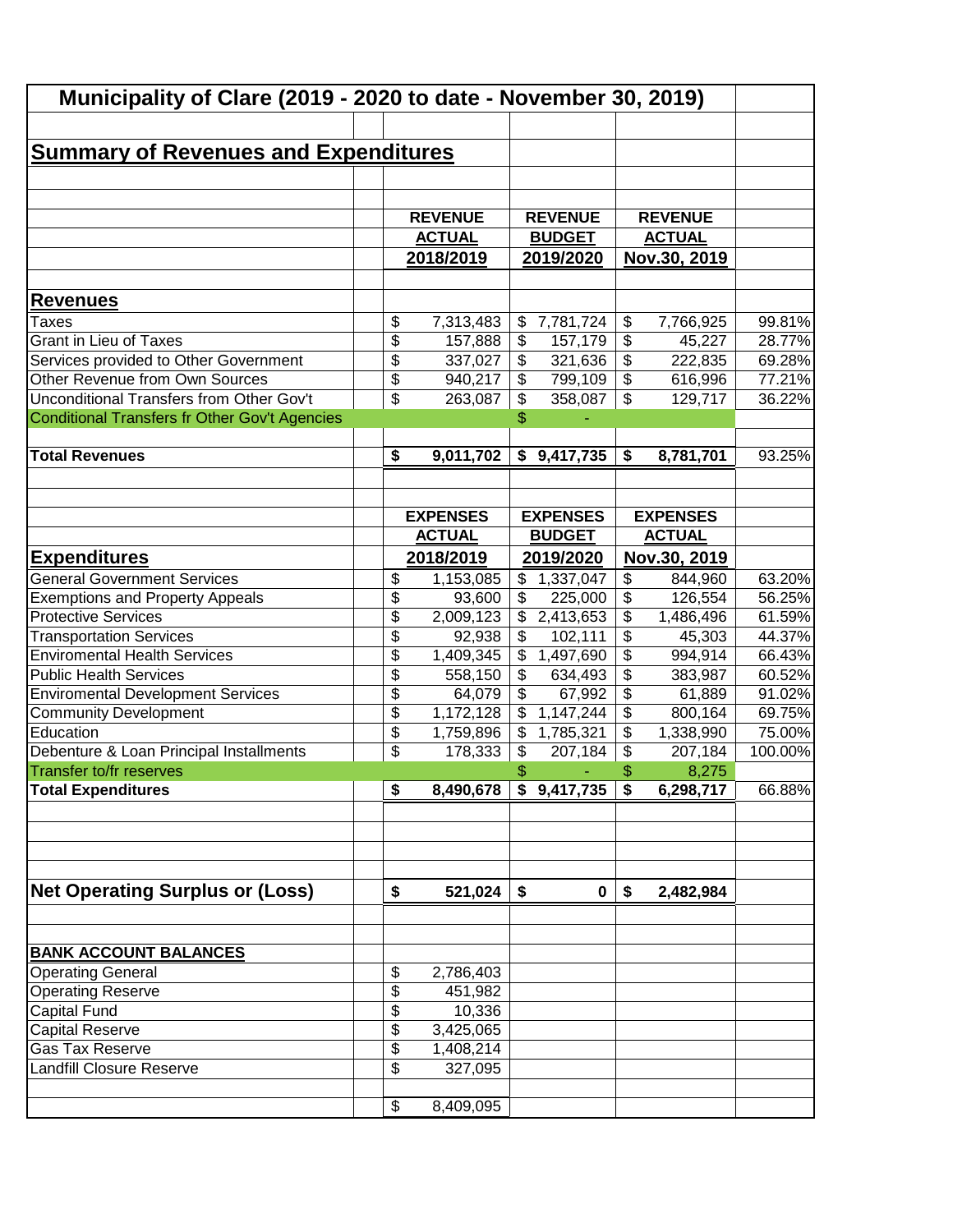| Municipality of Clare (2019 - 2020 to date - November 30, 2019) |                 |                 |                          |                        |                           |                 |         |
|-----------------------------------------------------------------|-----------------|-----------------|--------------------------|------------------------|---------------------------|-----------------|---------|
| <b>Summary of Revenues and Expenditures</b>                     |                 |                 |                          |                        |                           |                 |         |
|                                                                 |                 |                 |                          |                        |                           |                 |         |
|                                                                 |                 |                 |                          |                        |                           |                 |         |
|                                                                 |                 | <b>REVENUE</b>  |                          | <b>REVENUE</b>         |                           | <b>REVENUE</b>  |         |
|                                                                 |                 | <b>ACTUAL</b>   |                          | <b>BUDGET</b>          |                           | <b>ACTUAL</b>   |         |
|                                                                 |                 | 2018/2019       |                          | 2019/2020              |                           | Nov.30, 2019    |         |
|                                                                 |                 |                 |                          |                        |                           |                 |         |
| <b>Revenues</b>                                                 |                 |                 |                          |                        |                           |                 |         |
| Taxes                                                           | \$              | 7,313,483       | \$                       | 7,781,724              | \$                        | 7,766,925       | 99.81%  |
| <b>Grant in Lieu of Taxes</b>                                   | \$              | 157,888         | $\frac{1}{2}$            | 157,179                | $\overline{\$}$           | 45,227          | 28.77%  |
| Services provided to Other Government                           | \$              | 337,027         | $\overline{\$}$          | 321,636                | $\overline{\$}$           | 222,835         | 69.28%  |
| Other Revenue from Own Sources                                  | $\overline{\$}$ | 940,217         | $\overline{\mathcal{L}}$ | 799,109                | $\overline{\mathcal{S}}$  | 616,996         | 77.21%  |
| Unconditional Transfers from Other Gov't                        | \$              | 263,087         | \$                       | 358,087                | $\boldsymbol{\mathsf{S}}$ | 129,717         | 36.22%  |
| <b>Conditional Transfers fr Other Gov't Agencies</b>            |                 |                 | $\mathbb{S}$             |                        |                           |                 |         |
|                                                                 |                 |                 |                          |                        |                           |                 |         |
| <b>Total Revenues</b>                                           | \$              | 9,011,702       |                          | \$9,417,735            | \$                        | 8,781,701       | 93.25%  |
|                                                                 |                 |                 |                          |                        |                           |                 |         |
|                                                                 |                 | <b>EXPENSES</b> |                          | <b>EXPENSES</b>        |                           | <b>EXPENSES</b> |         |
|                                                                 |                 | <b>ACTUAL</b>   |                          | <b>BUDGET</b>          |                           | <b>ACTUAL</b>   |         |
| <b>Expenditures</b>                                             |                 | 2018/2019       |                          | 2019/2020              |                           | Nov.30, 2019    |         |
| <b>General Government Services</b>                              | \$              | 1,153,085       | \$                       | 1,337,047              | \$                        | 844,960         | 63.20%  |
| <b>Exemptions and Property Appeals</b>                          | \$              | 93,600          | \$                       | 225,000                | \$                        | 126,554         | 56.25%  |
| <b>Protective Services</b>                                      | \$              | 2,009,123       | $\mathfrak{F}$           | $\overline{2,}413,653$ | $\overline{\$}$           | 1,486,496       | 61.59%  |
| <b>Transportation Services</b>                                  | \$              | 92,938          | \$                       | 102,111                | $\overline{\$}$           | 45,303          | 44.37%  |
| <b>Enviromental Health Services</b>                             | \$              | 1,409,345       | \$                       | 1,497,690              | \$                        | 994,914         | 66.43%  |
| <b>Public Health Services</b>                                   | \$              | 558,150         | $\overline{\$}$          | 634,493                | $\overline{\$}$           | 383,987         | 60.52%  |
| <b>Enviromental Development Services</b>                        | \$              | 64,079          | $\overline{\$}$          | 67,992                 | $\overline{\$}$           | 61,889          | 91.02%  |
| <b>Community Development</b>                                    | \$              | 1,172,128       | \$                       | 1,147,244              | $\overline{\$}$           | 800,164         | 69.75%  |
| Education                                                       | \$              | 1,759,896       | \$                       | 1,785,321              | \$                        | 1,338,990       | 75.00%  |
| Debenture & Loan Principal Installments                         | \$              | 178,333         | \$                       | 207,184                | \$                        | 207,184         | 100.00% |
| Transfer to/fr reserves                                         |                 |                 | $\frac{1}{2}$            |                        |                           | 8,275           |         |
| <b>Total Expenditures</b>                                       | \$              | 8,490,678       |                          | \$9,417,735            | \$                        | 6,298,717       | 66.88%  |
|                                                                 |                 |                 |                          |                        |                           |                 |         |
|                                                                 |                 |                 |                          |                        |                           |                 |         |
|                                                                 |                 |                 |                          |                        |                           |                 |         |
| <b>Net Operating Surplus or (Loss)</b>                          | \$              | 521,024         | \$                       | $\mathbf 0$            | \$                        | 2,482,984       |         |
|                                                                 |                 |                 |                          |                        |                           |                 |         |
| <b>BANK ACCOUNT BALANCES</b>                                    |                 |                 |                          |                        |                           |                 |         |
| <b>Operating General</b>                                        | \$              | 2,786,403       |                          |                        |                           |                 |         |
| <b>Operating Reserve</b>                                        | \$              | 451,982         |                          |                        |                           |                 |         |
| Capital Fund                                                    | \$              | 10,336          |                          |                        |                           |                 |         |
| <b>Capital Reserve</b>                                          | \$              | 3,425,065       |                          |                        |                           |                 |         |
| Gas Tax Reserve                                                 | \$              | 1,408,214       |                          |                        |                           |                 |         |
| <b>Landfill Closure Reserve</b>                                 | \$              | 327,095         |                          |                        |                           |                 |         |
|                                                                 |                 |                 |                          |                        |                           |                 |         |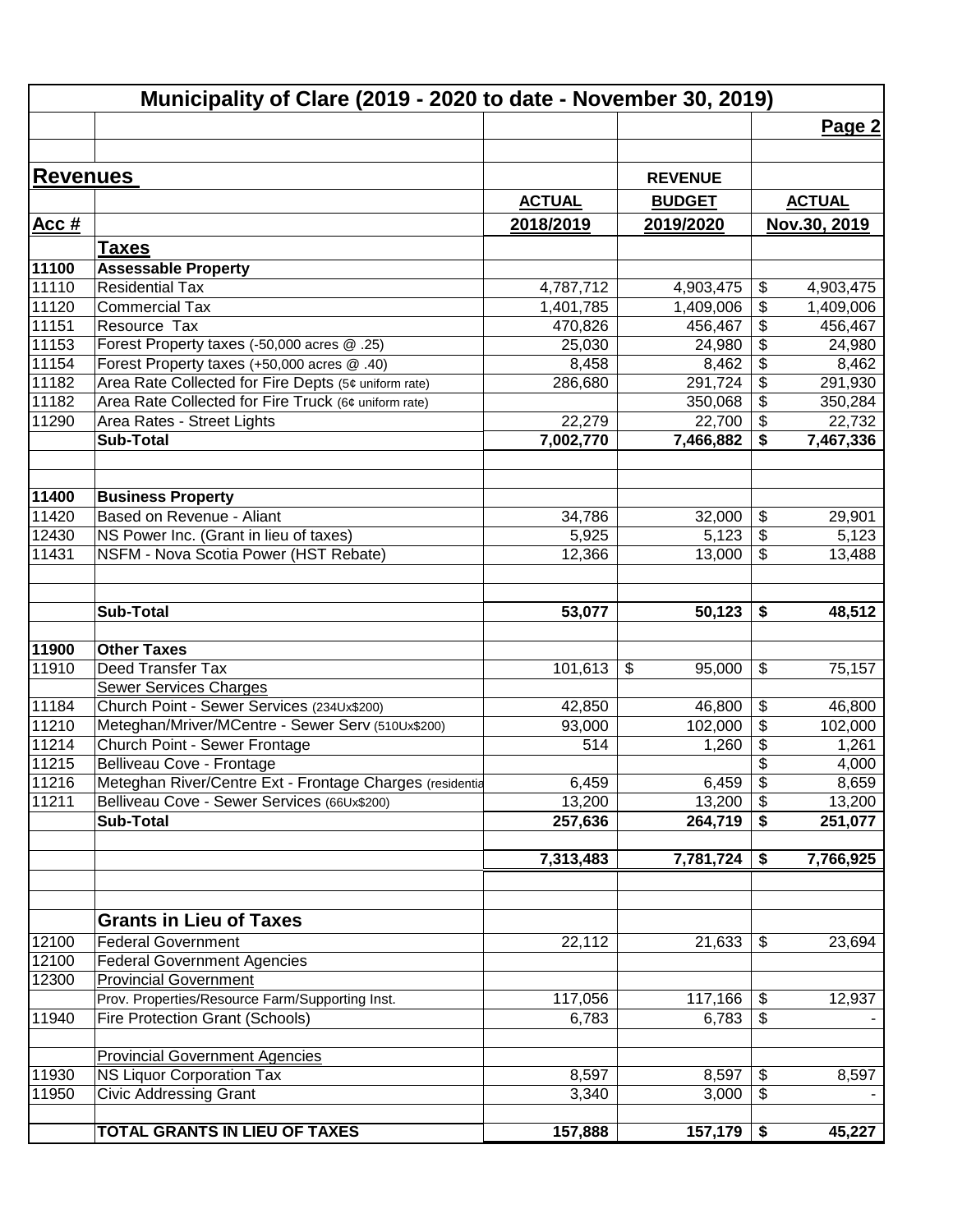|                 | Municipality of Clare (2019 - 2020 to date - November 30, 2019)                                         |                     |                   |                         |                   |
|-----------------|---------------------------------------------------------------------------------------------------------|---------------------|-------------------|-------------------------|-------------------|
|                 |                                                                                                         |                     |                   |                         | Page 2            |
|                 |                                                                                                         |                     |                   |                         |                   |
| <b>Revenues</b> |                                                                                                         |                     | <b>REVENUE</b>    |                         |                   |
|                 |                                                                                                         | <b>ACTUAL</b>       | <b>BUDGET</b>     | <b>ACTUAL</b>           |                   |
| <u>Acc #</u>    |                                                                                                         | 2018/2019           | 2019/2020         | Nov.30, 2019            |                   |
|                 |                                                                                                         |                     |                   |                         |                   |
|                 | <b>Taxes</b>                                                                                            |                     |                   |                         |                   |
| 11100           | <b>Assessable Property</b>                                                                              |                     |                   |                         |                   |
| 11110           | Residential Tax                                                                                         | 4,787,712           | 4,903,475         | \$<br>4,903,475         |                   |
| 11120<br>11151  | <b>Commercial Tax</b><br>Resource Tax                                                                   | 1,401,785           | 1,409,006         | \$<br>1,409,006         |                   |
| 11153           | Forest Property taxes (-50,000 acres @ .25)                                                             | 470,826<br>25,030   | 456,467<br>24,980 | \$<br>\$                | 456,467<br>24,980 |
| 11154           | Forest Property taxes (+50,000 acres @ .40)                                                             | 8,458               | 8,462             | \$                      | 8,462             |
| 11182           | Area Rate Collected for Fire Depts (5¢ uniform rate)                                                    | 286,680             | 291,724           | $\overline{\$}$         | 291,930           |
| 11182           | Area Rate Collected for Fire Truck (6¢ uniform rate)                                                    |                     | 350,068           | $\overline{\mathbf{G}}$ | 350,284           |
| 11290           | Area Rates - Street Lights                                                                              | 22,279              | 22,700            | $\overline{\mathbf{G}}$ | 22,732            |
|                 | <b>Sub-Total</b>                                                                                        | 7,002,770           | 7,466,882         | \$<br>7,467,336         |                   |
|                 |                                                                                                         |                     |                   |                         |                   |
|                 |                                                                                                         |                     |                   |                         |                   |
| 11400           | <b>Business Property</b>                                                                                |                     |                   |                         |                   |
| 11420           | Based on Revenue - Aliant                                                                               | 34,786              | 32,000            | \$                      | 29,901            |
| 12430           | NS Power Inc. (Grant in lieu of taxes)                                                                  | 5,925               | 5,123             | $\overline{\mathbf{e}}$ | 5,123             |
| 11431           | NSFM - Nova Scotia Power (HST Rebate)                                                                   | 12,366              | 13,000            | $\sqrt{3}$              | 13,488            |
|                 |                                                                                                         |                     |                   |                         |                   |
|                 |                                                                                                         |                     |                   |                         |                   |
|                 | <b>Sub-Total</b>                                                                                        | 53,077              | 50,123            | \$                      | 48,512            |
|                 |                                                                                                         |                     |                   |                         |                   |
| 11900           | <b>Other Taxes</b>                                                                                      |                     |                   |                         |                   |
| 11910           | Deed Transfer Tax                                                                                       | 101,613             | \$<br>95,000      | \$                      | 75,157            |
|                 | <b>Sewer Services Charges</b>                                                                           |                     |                   |                         |                   |
| 11184           | Church Point - Sewer Services (234Ux\$200)                                                              | 42,850              | 46,800            | \$                      | 46,800            |
| 11210           | Meteghan/Mriver/MCentre - Sewer Serv (510Ux\$200)                                                       | 93,000              | 102,000           | $\overline{\mathbf{S}}$ | 102,000           |
| 11214           | Church Point - Sewer Frontage                                                                           | 514                 | 1,260             | \$                      | 1,261             |
| 11215           | Belliveau Cove - Frontage                                                                               |                     |                   | \$                      | 4,000             |
| 11216           | Meteghan River/Centre Ext - Frontage Charges (residentia<br>Belliveau Cove - Sewer Services (66Ux\$200) | 6,459               | $6,459$ \$        |                         | 8,659             |
| 11211           | <b>Sub-Total</b>                                                                                        | 13,200<br>257,636   | 13,200<br>264,719 | \$                      | 13,200            |
|                 |                                                                                                         |                     |                   | \$                      | 251,077           |
|                 |                                                                                                         | 7,313,483           | 7,781,724         | 7,766,925<br>\$         |                   |
|                 |                                                                                                         |                     |                   |                         |                   |
|                 |                                                                                                         |                     |                   |                         |                   |
|                 | <b>Grants in Lieu of Taxes</b>                                                                          |                     |                   |                         |                   |
| 12100           | <b>Federal Government</b>                                                                               | $\overline{22,112}$ | 21,633            | \$                      | 23,694            |
| 12100           | <b>Federal Government Agencies</b>                                                                      |                     |                   |                         |                   |
| 12300           | <b>Provincial Government</b>                                                                            |                     |                   |                         |                   |
|                 | Prov. Properties/Resource Farm/Supporting Inst.                                                         | 117,056             | 117,166           | \$                      | 12,937            |
| 11940           | <b>Fire Protection Grant (Schools)</b>                                                                  | 6,783               | 6,783             | \$                      |                   |
|                 |                                                                                                         |                     |                   |                         |                   |
|                 | <b>Provincial Government Agencies</b>                                                                   |                     |                   |                         |                   |
| 11930           | <b>NS Liquor Corporation Tax</b>                                                                        | 8,597               | 8,597             | \$                      | 8,597             |
| 11950           | <b>Civic Addressing Grant</b>                                                                           | 3,340               | 3,000             | \$                      |                   |
|                 |                                                                                                         |                     |                   |                         |                   |
|                 | TOTAL GRANTS IN LIEU OF TAXES                                                                           | 157,888             | 157,179           | \$                      | 45,227            |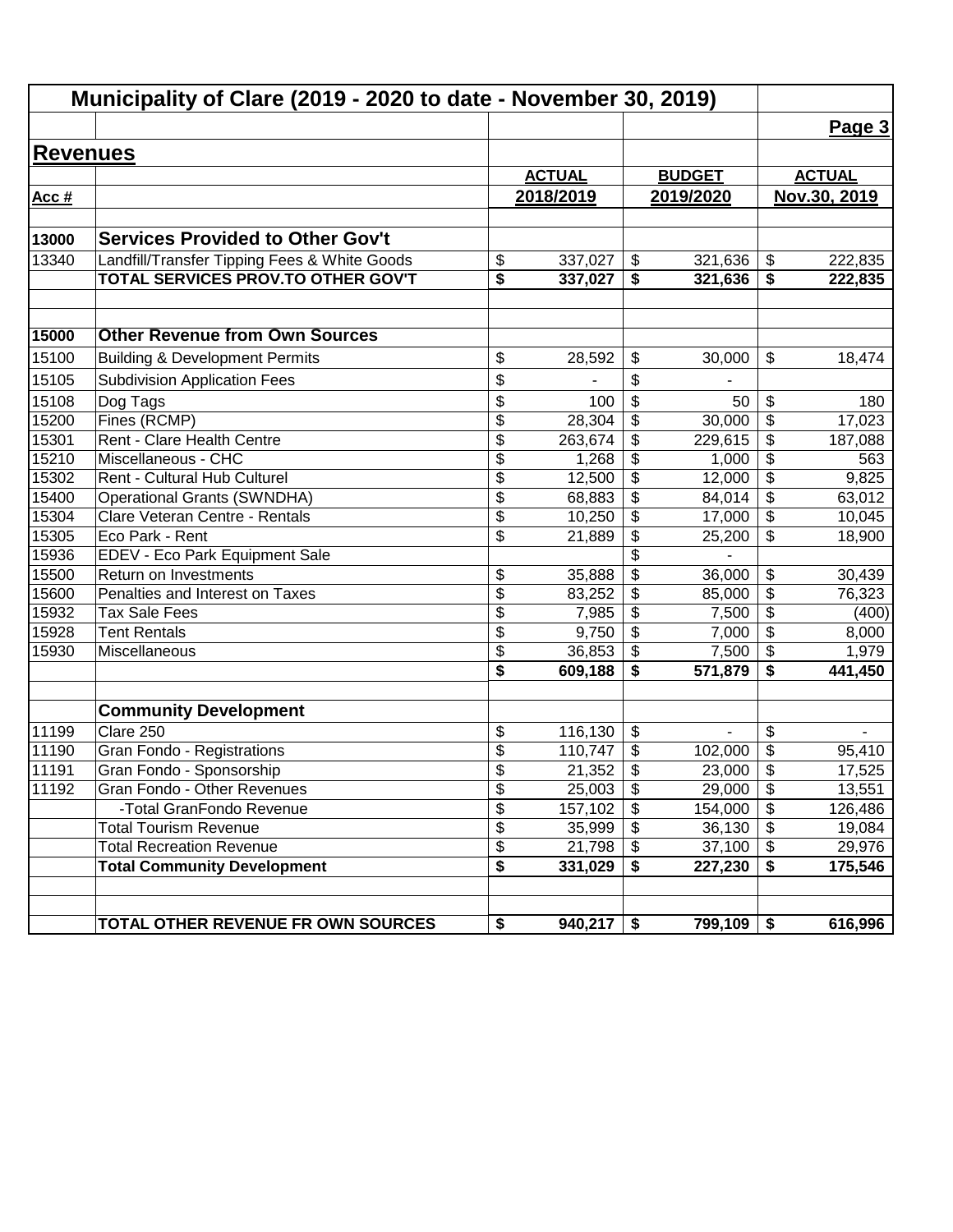|                 | Municipality of Clare (2019 - 2020 to date - November 30, 2019) |                          |               |                                        |               |                                        |               |  |  |  |
|-----------------|-----------------------------------------------------------------|--------------------------|---------------|----------------------------------------|---------------|----------------------------------------|---------------|--|--|--|
|                 |                                                                 |                          |               |                                        |               |                                        | Page 3        |  |  |  |
| <b>Revenues</b> |                                                                 |                          |               |                                        |               |                                        |               |  |  |  |
|                 |                                                                 |                          | <b>ACTUAL</b> |                                        | <b>BUDGET</b> |                                        | <b>ACTUAL</b> |  |  |  |
| Acc #           |                                                                 |                          | 2018/2019     |                                        | 2019/2020     |                                        | Nov.30, 2019  |  |  |  |
|                 |                                                                 |                          |               |                                        |               |                                        |               |  |  |  |
| 13000           | <b>Services Provided to Other Gov't</b>                         |                          |               |                                        |               |                                        |               |  |  |  |
| 13340           | Landfill/Transfer Tipping Fees & White Goods                    | \$                       | 337,027       | $\boldsymbol{\hat{\varphi}}$           | 321,636       | \$                                     | 222,835       |  |  |  |
|                 | TOTAL SERVICES PROV.TO OTHER GOV'T                              | \$                       | 337,027       | \$                                     | 321,636       | \$                                     | 222,835       |  |  |  |
| 15000           | <b>Other Revenue from Own Sources</b>                           |                          |               |                                        |               |                                        |               |  |  |  |
| 15100           | <b>Building &amp; Development Permits</b>                       | \$                       | 28,592        | \$                                     | 30,000        | \$                                     | 18,474        |  |  |  |
| 15105           | <b>Subdivision Application Fees</b>                             | \$                       |               | \$                                     |               |                                        |               |  |  |  |
| 15108           | Dog Tags                                                        | \$                       | 100           | \$                                     | 50            | \$                                     |               |  |  |  |
| 15200           | Fines (RCMP)                                                    | $\overline{\mathcal{S}}$ | 28,304        | \$                                     | 30,000        | $\overline{\boldsymbol{\mathsf{s}}}$   | 180<br>17,023 |  |  |  |
| 15301           | Rent - Clare Health Centre                                      | $\overline{\mathcal{S}}$ | 263,674       | \$                                     | 229,615       | \$                                     | 187,088       |  |  |  |
| 15210           | Miscellaneous - CHC                                             | \$                       | 1,268         | \$                                     | 1,000         | \$                                     | 563           |  |  |  |
| 15302           | Rent - Cultural Hub Culturel                                    | \$                       | 12,500        | \$                                     | 12,000        | $\overline{\boldsymbol{\theta}}$       | 9,825         |  |  |  |
| 15400           | <b>Operational Grants (SWNDHA)</b>                              | $\overline{\mathcal{S}}$ | 68,883        | $\overline{\mathbf{e}}$                | 84,014        | $\overline{\boldsymbol{\theta}}$       | 63,012        |  |  |  |
| 15304           | Clare Veteran Centre - Rentals                                  | \$                       | 10,250        | \$                                     | 17,000        | $\overline{\mathcal{G}}$               | 10,045        |  |  |  |
| 15305           | Eco Park - Rent                                                 | \$                       | 21,889        | $\overline{\mathbf{e}}$                | 25,200        | \$                                     | 18,900        |  |  |  |
| 15936           | EDEV - Eco Park Equipment Sale                                  |                          |               | $\overline{\$}$                        |               |                                        |               |  |  |  |
| 15500           | Return on Investments                                           | \$                       | 35,888        | $\overline{\$}$                        | 36,000        | \$                                     | 30,439        |  |  |  |
| 15600           | Penalties and Interest on Taxes                                 | $\overline{\$}$          | 83,252        | \$                                     | 85,000        | $\overline{\$}$                        | 76,323        |  |  |  |
| 15932           | <b>Tax Sale Fees</b>                                            | $\overline{\$}$          | 7,985         | $\overline{\$}$                        | 7,500         | $\overline{\$}$                        | (400)         |  |  |  |
| 15928           | <b>Tent Rentals</b>                                             | \$                       | 9,750         | $\overline{\mathcal{S}}$               | 7,000         | $\overline{\mathcal{L}}$               | 8,000         |  |  |  |
| 15930           | Miscellaneous                                                   | \$                       | 36,853        | \$                                     | 7,500         | $\overline{\$}$                        | 1,979         |  |  |  |
|                 |                                                                 | \$                       | 609,188       | \$                                     | 571,879       | \$                                     | 441,450       |  |  |  |
|                 | <b>Community Development</b>                                    |                          |               |                                        |               |                                        |               |  |  |  |
| 11199           | Clare 250                                                       | \$                       | 116,130       | \$                                     | ä,            | \$                                     |               |  |  |  |
| 11190           | Gran Fondo - Registrations                                      | \$                       | 110,747       | \$                                     | 102,000       | \$                                     | 95,410        |  |  |  |
| 11191           | Gran Fondo - Sponsorship                                        | \$                       | 21,352        | \$                                     | 23,000        | \$                                     | 17,525        |  |  |  |
| 11192           | Gran Fondo - Other Revenues                                     | \$                       | 25,003        | $\boldsymbol{\mathsf{S}}$              | 29,000        | \$                                     | 13,551        |  |  |  |
|                 | -Total GranFondo Revenue                                        | $\overline{\mathcal{S}}$ | 157,102       | $\overline{\boldsymbol{\mathfrak{s}}}$ | 154,000       | $\overline{\boldsymbol{\mathfrak{s}}}$ | 126,486       |  |  |  |
|                 | <b>Total Tourism Revenue</b>                                    | $\overline{\mathcal{G}}$ | 35,999        | \$                                     | 36,130        | $\boldsymbol{\mathsf{S}}$              | 19,084        |  |  |  |
|                 | <b>Total Recreation Revenue</b>                                 | $\overline{\mathcal{S}}$ | 21,798        | \$                                     | 37,100        | $\boldsymbol{\mathsf{S}}$              | 29,976        |  |  |  |
|                 | <b>Total Community Development</b>                              | \$                       | 331,029       | \$                                     | 227,230       | \$                                     | 175,546       |  |  |  |
|                 | TOTAL OTHER REVENUE FR OWN SOURCES                              | \$                       | 940,217       | \$                                     | 799,109       | \$                                     | 616,996       |  |  |  |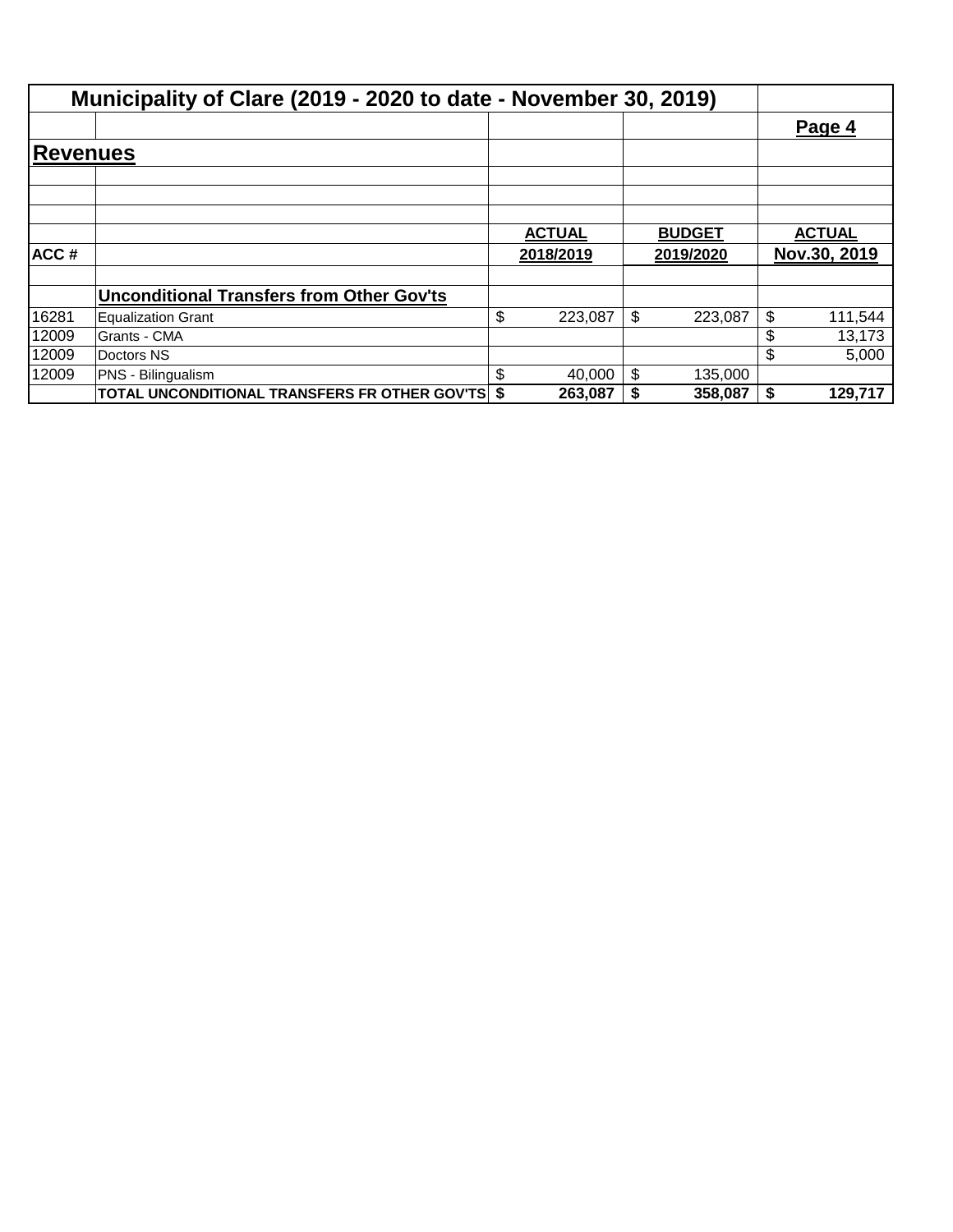|                  | Municipality of Clare (2019 - 2020 to date - November 30, 2019) |               |               |    |               |
|------------------|-----------------------------------------------------------------|---------------|---------------|----|---------------|
|                  |                                                                 |               |               |    | Page 4        |
| Reve <u>nues</u> |                                                                 |               |               |    |               |
|                  |                                                                 |               |               |    |               |
|                  |                                                                 |               |               |    |               |
|                  |                                                                 | <b>ACTUAL</b> | <b>BUDGET</b> |    | <b>ACTUAL</b> |
| ACC#             |                                                                 | 2018/2019     | 2019/2020     |    | Nov.30, 2019  |
|                  | <b>Unconditional Transfers from Other Gov'ts</b>                |               |               |    |               |
| 16281            | Equalization Grant                                              | \$<br>223,087 | \$<br>223,087 | \$ | 111,544       |
| 12009            | Grants - CMA                                                    |               |               | \$ | 13,173        |
| 12009            | Doctors NS                                                      |               |               | \$ | 5,000         |
| 12009            | PNS - Bilingualism                                              | \$<br>40,000  | \$<br>135,000 |    |               |
|                  | TOTAL UNCONDITIONAL TRANSFERS FR OTHER GOV'TS \$                | 263,087       | 358,087       | S. | 129,717       |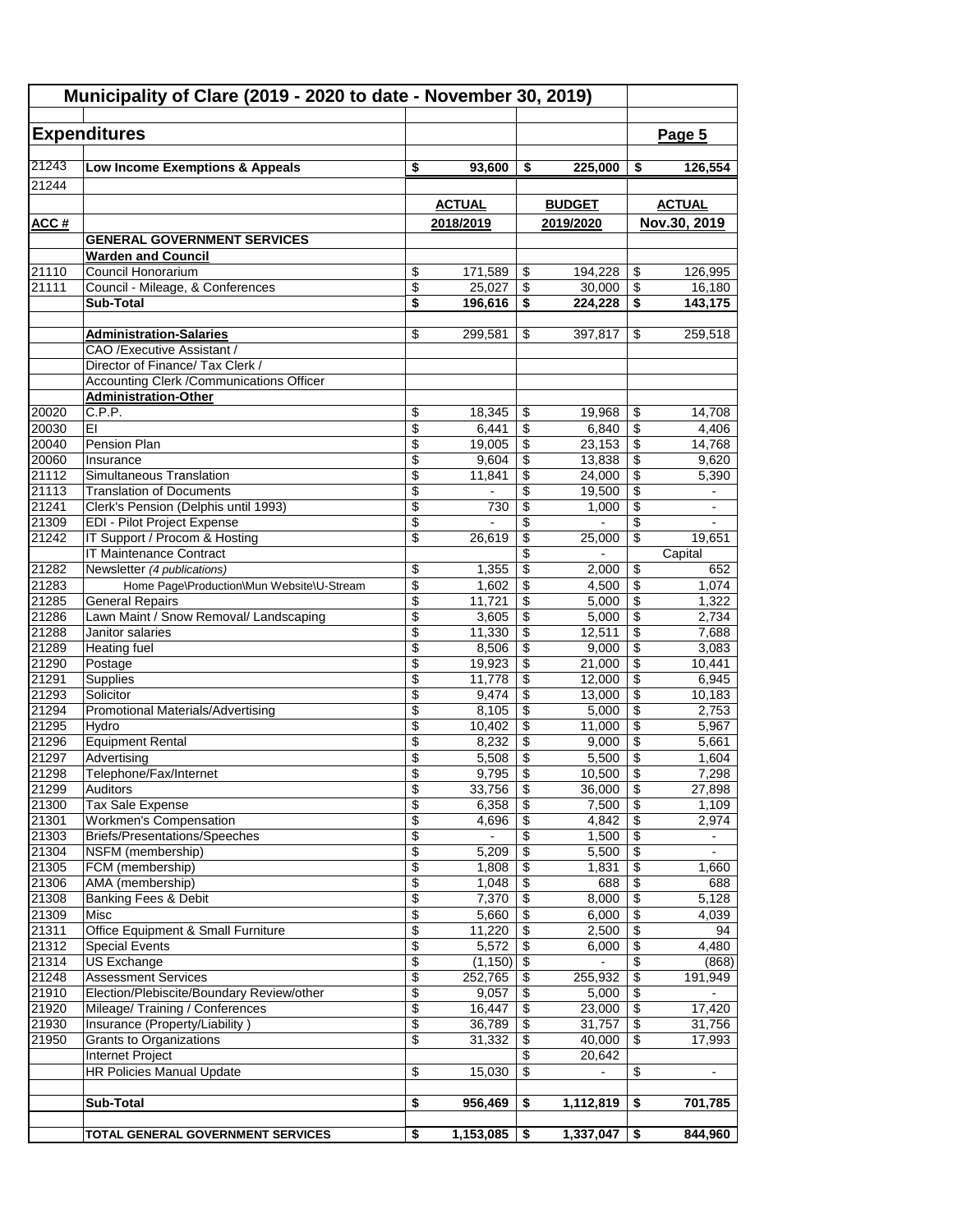| Municipality of Clare (2019 - 2020 to date - November 30, 2019) |                                                              |                                |                     |                                          |                           |                                      |                  |
|-----------------------------------------------------------------|--------------------------------------------------------------|--------------------------------|---------------------|------------------------------------------|---------------------------|--------------------------------------|------------------|
|                                                                 | <b>Expenditures</b>                                          |                                |                     |                                          |                           |                                      | Page 5           |
| 21243                                                           |                                                              | \$                             |                     |                                          |                           |                                      | 126,554          |
| 21244                                                           | Low Income Exemptions & Appeals                              |                                | 93,600              | \$                                       | 225,000                   | \$                                   |                  |
|                                                                 |                                                              |                                | <b>ACTUAL</b>       |                                          | <b>BUDGET</b>             |                                      | <b>ACTUAL</b>    |
| ACC#                                                            |                                                              |                                | 2018/2019           |                                          | 2019/2020                 |                                      | Nov.30, 2019     |
|                                                                 | <b>GENERAL GOVERNMENT SERVICES</b>                           |                                |                     |                                          |                           |                                      |                  |
|                                                                 | <b>Warden and Council</b>                                    |                                |                     |                                          |                           |                                      |                  |
| 21110                                                           | Council Honorarium                                           | \$                             | 171,589             | \$                                       | 194,228                   | $\sqrt[6]{3}$                        | 126,995          |
| 21111                                                           | Council - Mileage, & Conferences                             | \$                             | 25,027              | \$                                       | 30,000                    | $\overline{\mathcal{E}}$             | 16.180           |
|                                                                 | <b>Sub-Total</b>                                             | \$                             | 196,616             | \$                                       | 224,228                   | $\overline{\boldsymbol{\mathsf{s}}}$ | 143,175          |
|                                                                 | <b>Administration-Salaries</b>                               | \$                             | 299,581             | \$                                       | 397,817                   | \$                                   | 259,518          |
|                                                                 | CAO / Executive Assistant /                                  |                                |                     |                                          |                           |                                      |                  |
|                                                                 | Director of Finance/ Tax Clerk /                             |                                |                     |                                          |                           |                                      |                  |
|                                                                 | Accounting Clerk / Communications Officer                    |                                |                     |                                          |                           |                                      |                  |
|                                                                 | <b>Administration-Other</b>                                  |                                |                     |                                          |                           |                                      |                  |
| 20020<br>20030                                                  | C.P.P.<br>EI                                                 | \$<br>$\overline{\$}$          | 18,345<br>6,441     | \$<br>$\overline{\mathbf{S}}$            | 19,968<br>6,840           | \$<br>\$                             | 14,708<br>4,406  |
| 20040                                                           | Pension Plan                                                 | \$                             | 19,005              | \$                                       | 23,153                    | \$                                   | 14,768           |
| 20060                                                           | Insurance                                                    | \$                             | 9,604               | \$                                       | 13,838                    | \$                                   | 9,620            |
| 21112                                                           | Simultaneous Translation                                     | \$                             | 11,841              | \$                                       | 24,000                    | \$                                   | 5,390            |
| 21113                                                           | <b>Translation of Documents</b>                              | \$                             |                     | \$                                       | 19,500                    | \$                                   | ÷.               |
| 21241                                                           | Clerk's Pension (Delphis until 1993)                         | $\overline{\$}$                | 730                 | \$                                       | 1,000                     | $\overline{\$}$                      | $\blacksquare$   |
| 21309<br>21242                                                  | EDI - Pilot Project Expense<br>IT Support / Procom & Hosting | $\overline{\$}$<br>\$          | 26,619              | \$<br>\$                                 | 25,000                    | \$<br>$\overline{\mathcal{L}}$       | 19,651           |
|                                                                 | <b>IT Maintenance Contract</b>                               |                                |                     | \$                                       |                           |                                      | Capital          |
| 21282                                                           | Newsletter (4 publications)                                  | \$                             | 1,355               | \$                                       | 2,000                     | \$                                   | 652              |
| 21283                                                           | Home Page\Production\Mun Website\U-Stream                    | \$                             | 1,602               | \$                                       | 4,500                     | \$                                   | 1,074            |
| 21285                                                           | <b>General Repairs</b>                                       | \$                             | 11,721              | \$                                       | 5,000                     | \$                                   | 1,322            |
| 21286                                                           | Lawn Maint / Snow Removal/ Landscaping                       | \$                             | 3,605               | \$                                       | 5,000                     | \$                                   | 2,734            |
| 21288<br>21289                                                  | Janitor salaries                                             | \$                             | 11,330<br>8,506     | \$                                       | 12,511<br>9,000           | $\overline{\$}$<br>$\overline{\$}$   | 7,688<br>3,083   |
| 21290                                                           | <b>Heating fuel</b><br>Postage                               | \$<br>$\overline{\$}$          | 19,923              | \$<br>\$                                 | 21,000                    | $\overline{\$}$                      | 10,441           |
| 21291                                                           | Supplies                                                     | \$                             | 11,778              | \$                                       | 12,000                    | $\overline{\$}$                      | 6,945            |
| 21293                                                           | Solicitor                                                    | \$                             | 9,474               | \$                                       | 13,000                    | \$                                   | 10,183           |
| 21294                                                           | <b>Promotional Materials/Advertising</b>                     | \$                             | 8,105               | \$                                       | 5,000                     | \$                                   | 2,753            |
| 21295                                                           | Hydro                                                        | \$                             | 10,402              | \$                                       | 11,000                    | $\overline{\mathcal{E}}$             | 5,967            |
| 21296<br>21297                                                  | <b>Equipment Rental</b><br>Advertising                       | \$<br>\$                       | 8,232<br>5,508      | \$<br>\$                                 | 9,000<br>5,500            | \$<br>\$                             | 5,661            |
| 21298                                                           | Telephone/Fax/Internet                                       | \$                             | 9,795               | \$                                       | 10,500                    | $\overline{\$}$                      | 1,604<br>7,298   |
| 21299                                                           | Auditors                                                     | \$                             | 33,756              | \$                                       | 36,000                    | \$                                   | 27,898           |
| 21300                                                           | <b>Tax Sale Expense</b>                                      | $\overline{\mathcal{L}}$       | 6,358               | \$                                       | 7,500                     | $\overline{\$}$                      | 1,109            |
| 21301                                                           | <b>Workmen's Compensation</b>                                | \$                             | 4,696               | \$                                       | 4,842                     | $\overline{\mathbf{S}}$              | 2,974            |
| 21303                                                           | <b>Briefs/Presentations/Speeches</b>                         | \$                             |                     | \$                                       | 1,500                     | $\overline{\mathbf{e}}$              | $\blacksquare$   |
| 21304<br>21305                                                  | NSFM (membership)<br>FCM (membership)                        | \$<br>$\overline{\mathcal{E}}$ | 5,209<br>1,808      | \$<br>\$                                 | 5,500<br>1,831            | $\overline{\mathbf{e}}$<br>\$        | 1,660            |
| 21306                                                           | AMA (membership)                                             | \$                             | 1,048               | \$                                       | 688                       | $\overline{\$}$                      | 688              |
| 21308                                                           | <b>Banking Fees &amp; Debit</b>                              | \$                             | 7,370               | \$                                       | 8,000                     | $\overline{\mathbf{e}}$              | 5,128            |
| 21309                                                           | Misc                                                         | $\overline{\$}$                | 5,660               | $\overline{\$}$                          | 6,000                     | $\overline{\mathcal{E}}$             | 4,039            |
| 21311                                                           | Office Equipment & Small Furniture                           | $\overline{\$}$                | 11,220              | \$                                       | 2,500                     | $\overline{\mathcal{E}}$             | 94               |
| 21312                                                           | <b>Special Events</b>                                        | $\overline{\$}$                | 5,572               | $\sqrt[6]{3}$                            | 6,000                     | $\overline{\mathcal{L}}$             | 4,480            |
| 21314<br>21248                                                  | <b>US Exchange</b><br><b>Assessment Services</b>             | $\overline{\$}$<br>\$          | (1, 150)<br>252,765 | $\overline{\boldsymbol{\epsilon}}$<br>\$ | $\blacksquare$<br>255,932 | \$<br>$\overline{\mathcal{S}}$       | (868)<br>191,949 |
| 21910                                                           | Election/Plebiscite/Boundary Review/other                    | \$                             | 9,057               | \$                                       | 5,000                     | $\overline{\mathbf{e}}$              |                  |
| 21920                                                           | Mileage/ Training / Conferences                              | $\overline{\mathbf{e}}$        | 16,447              | \$                                       | 23,000                    | $\overline{\mathbf{e}}$              | 17,420           |
| 21930                                                           | Insurance (Property/Liability)                               | \$                             | 36,789              | \$                                       | 31,757                    | $\overline{\mathbf{e}}$              | 31,756           |
| 21950                                                           | <b>Grants to Organizations</b>                               | \$                             | 31,332              | \$                                       | 40,000                    | \$                                   | 17,993           |
|                                                                 | Internet Project                                             |                                |                     | \$                                       | 20,642                    |                                      |                  |
|                                                                 | <b>HR Policies Manual Update</b>                             | \$                             | 15,030              | $\overline{\$}$                          |                           | \$                                   |                  |
|                                                                 | Sub-Total                                                    | \$                             | 956,469             | \$                                       | 1,112,819                 | \$                                   | 701,785          |
|                                                                 |                                                              |                                |                     |                                          |                           |                                      |                  |
|                                                                 | TOTAL GENERAL GOVERNMENT SERVICES                            | \$                             | 1,153,085           | \$                                       | 1,337,047                 | \$                                   | 844,960          |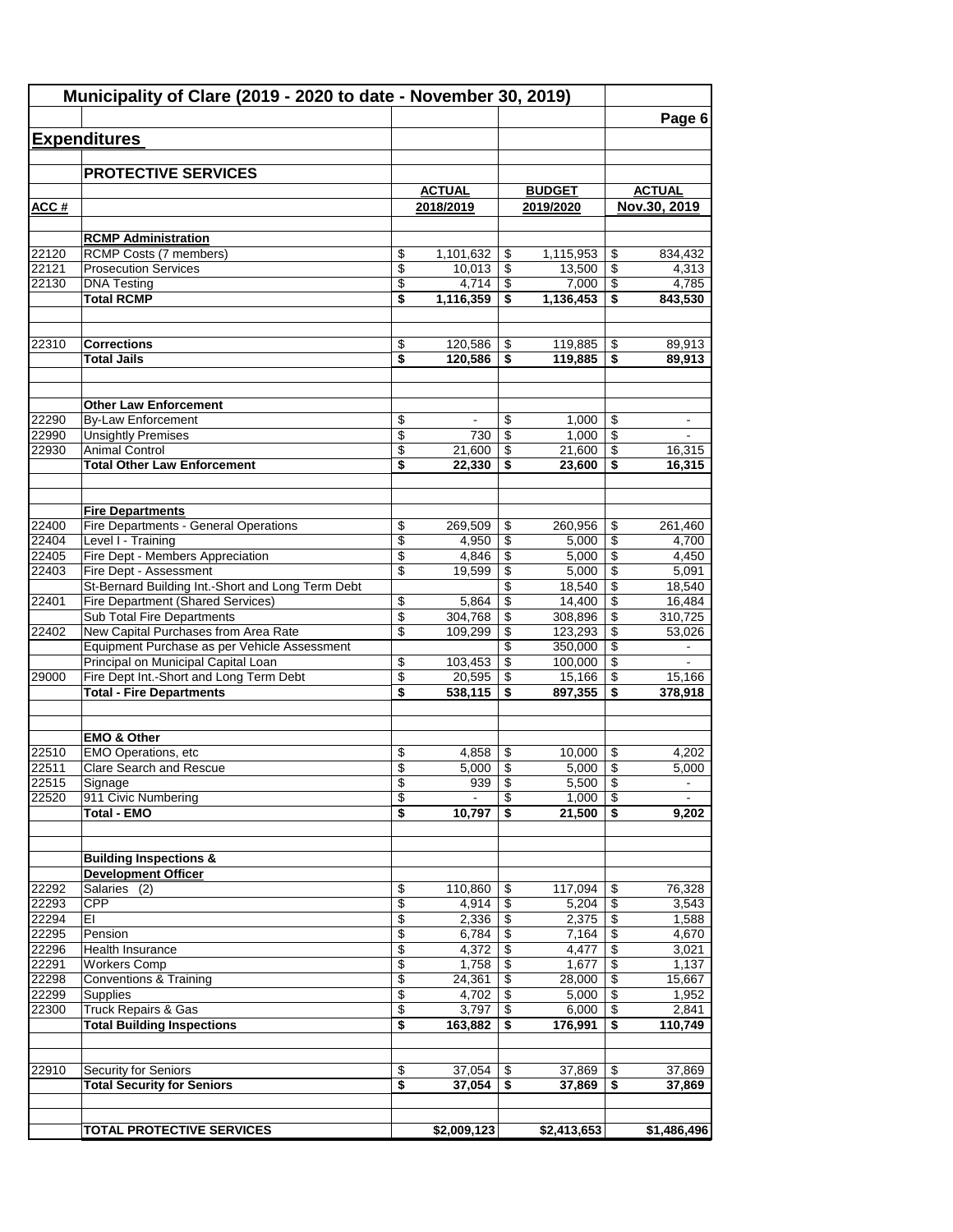|                | Municipality of Clare (2019 - 2020 to date - November 30, 2019)                        |                 |                |          |                  |                 | Page 6              |
|----------------|----------------------------------------------------------------------------------------|-----------------|----------------|----------|------------------|-----------------|---------------------|
|                | <b>Expenditures</b>                                                                    |                 |                |          |                  |                 |                     |
|                |                                                                                        |                 |                |          |                  |                 |                     |
|                | <b>PROTECTIVE SERVICES</b>                                                             |                 |                |          |                  |                 |                     |
|                |                                                                                        |                 | <b>ACTUAL</b>  |          | <b>BUDGET</b>    |                 | <b>ACTUAL</b>       |
| ACC#           |                                                                                        |                 | 2018/2019      |          | 2019/2020        |                 | Nov.30, 2019        |
|                |                                                                                        |                 |                |          |                  |                 |                     |
| 22120          | <b>RCMP Administration</b><br><b>RCMP Costs (7 members)</b>                            | \$              | 1,101,632      | \$       | 1,115,953        | \$              | 834,432             |
| 22121          | <b>Prosecution Services</b>                                                            | \$              | 10,013         | \$       | 13,500           | \$              | 4,313               |
| 22130          | <b>DNA Testing</b>                                                                     | \$              | 4,714          | \$       | 7,000            | \$              | 4,785               |
|                | <b>Total RCMP</b>                                                                      | \$              | 1,116,359      | \$       | 1,136,453        | \$              | 843,530             |
| 22310          | <b>Corrections</b>                                                                     | \$              | 120,586        | \$       | 119,885          | \$              | 89,913              |
|                | <b>Total Jails</b>                                                                     | \$              | 120,586        | \$       | 119,885          | \$              | 89,913              |
|                |                                                                                        |                 |                |          |                  |                 |                     |
|                | <b>Other Law Enforcement</b>                                                           |                 |                |          |                  |                 |                     |
| 22290          | <b>By-Law Enforcement</b>                                                              | \$              |                | \$       | 1,000            | \$              |                     |
| 22990          | <b>Unsightly Premises</b>                                                              | \$              | 730            | \$       | 1,000            | \$              |                     |
| 22930          | <b>Animal Control</b><br><b>Total Other Law Enforcement</b>                            | \$<br>\$        | 21,600         | \$<br>\$ | 21,600           | \$<br>\$        | 16,315<br>16,315    |
|                |                                                                                        |                 | 22,330         |          | 23,600           |                 |                     |
|                | <b>Fire Departments</b>                                                                |                 |                |          |                  |                 |                     |
| 22400          | Fire Departments - General Operations                                                  | \$              | 269,509        | \$       | 260,956          | \$              | 261,460             |
| 22404          | Level I - Training                                                                     | $\overline{\$}$ | 4,950          | \$       | 5,000            | \$              | 4,700               |
| 22405          | Fire Dept - Members Appreciation                                                       | \$              | 4,846          | \$       | 5,000            | \$              | 4,450               |
| 22403          | Fire Dept - Assessment                                                                 | \$              | 19,599         | \$       | 5,000            | \$              | 5,091               |
| 22401          | St-Bernard Building Int.-Short and Long Term Debt<br>Fire Department (Shared Services) |                 | 5,864          | \$<br>\$ | 18,540<br>14,400 | \$<br>\$        | 18,540<br>16,484    |
|                | Sub Total Fire Departments                                                             | \$<br>\$        | 304,768        | \$       | 308,896          | \$              | 310,725             |
| 22402          | New Capital Purchases from Area Rate                                                   | \$              | 109,299        | \$       | 123,293          | \$              | $\overline{53,026}$ |
|                | Equipment Purchase as per Vehicle Assessment                                           |                 |                | \$       | 350,000          | \$              |                     |
|                | Principal on Municipal Capital Loan                                                    | \$              | 103,453        | \$       | 100,000          | \$              |                     |
| 29000          | Fire Dept Int.-Short and Long Term Debt                                                | \$              | 20,595         | \$       | 15,166           | \$              | 15,166              |
|                | <b>Total - Fire Departments</b>                                                        | \$              | 538,115        | \$       | 897,355          | \$              | 378,918             |
|                | <b>EMO &amp; Other</b>                                                                 |                 |                |          |                  |                 |                     |
| 22510          | <b>EMO Operations, etc</b>                                                             | \$              | 4,858          | \$       | 10,000           | \$              | 4,202               |
| 22511          | Clare Search and Rescue                                                                | \$              | $5,000$        | \$       | $5,000$   \$     |                 | 5,000               |
| 22515          | Signage                                                                                | \$              | 939            | \$       | 5,500            | \$              |                     |
| 22520          | 911 Civic Numbering                                                                    | \$              |                | \$       | 1,000            | \$              |                     |
|                | <b>Total - EMO</b>                                                                     | \$              | 10,797         | \$       | 21,500           | \$              | 9,202               |
|                | <b>Building Inspections &amp;</b>                                                      |                 |                |          |                  |                 |                     |
|                | <b>Development Officer</b>                                                             |                 |                |          |                  |                 |                     |
| 22292          | Salaries (2)                                                                           | \$              | 110,860        | \$       | 117,094          | \$              | 76,328              |
| 22293          | <b>CPP</b>                                                                             | \$              | 4,914          | \$       | 5,204            | $\overline{\$}$ | 3,543               |
| 22294<br>22295 | EI<br>Pension                                                                          | \$<br>\$        | 2,336<br>6,784 | \$<br>\$ | 2,375<br>7,164   | \$<br>\$        | 1,588<br>4,670      |
| 22296          | Health Insurance                                                                       | \$              | 4,372          | \$       | 4,477            | \$              | 3,021               |
| 22291          | <b>Workers Comp</b>                                                                    | \$              | 1,758          | \$       | 1,677            | \$              | 1,137               |
| 22298          | <b>Conventions &amp; Training</b>                                                      | \$              | 24,361         | \$       | 28,000           | \$              | 15,667              |
| 22299          | Supplies                                                                               | \$              | 4,702          | \$       | 5,000            | \$              | 1,952               |
| 22300          | Truck Repairs & Gas                                                                    | \$              | 3,797          | \$       | 6,000            | \$              | 2,841               |
|                | <b>Total Building Inspections</b>                                                      | \$              | 163,882        | \$       | 176,991          | \$              | 110,749             |
| 22910          | <b>Security for Seniors</b>                                                            | \$              | 37,054         | \$       | 37,869           | \$              | 37,869              |
|                | <b>Total Security for Seniors</b>                                                      | \$              | 37,054         | \$       | 37,869           | \$              | 37,869              |
|                |                                                                                        |                 |                |          |                  |                 |                     |
|                | <b>TOTAL PROTECTIVE SERVICES</b>                                                       |                 | \$2,009,123    |          | \$2,413,653      |                 | \$1,486,496         |
|                |                                                                                        |                 |                |          |                  |                 |                     |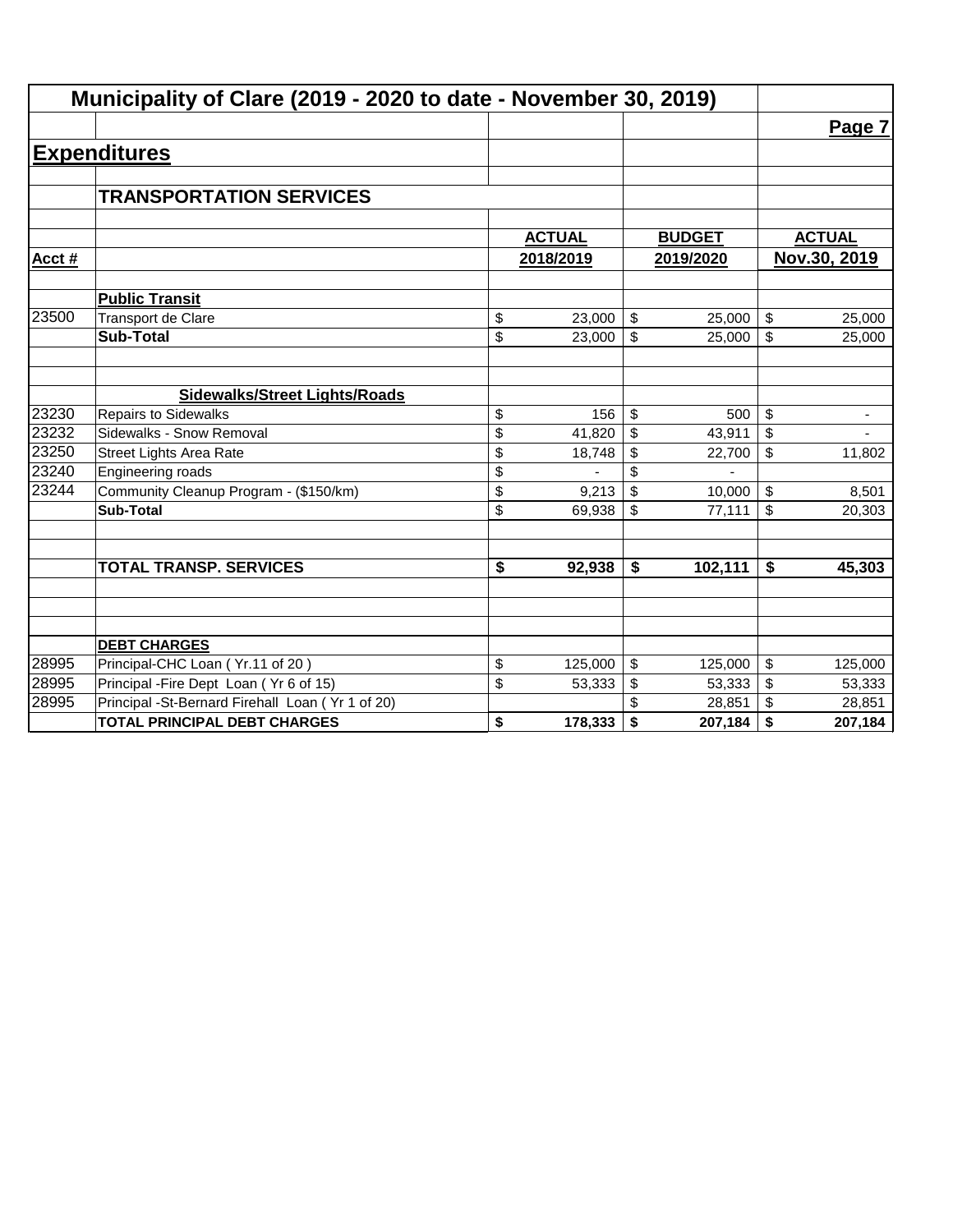| Municipality of Clare (2019 - 2020 to date - November 30, 2019) |                                                  |               |                         |               |                           |                |
|-----------------------------------------------------------------|--------------------------------------------------|---------------|-------------------------|---------------|---------------------------|----------------|
|                                                                 |                                                  |               |                         |               |                           | Page 7         |
|                                                                 | <b>Expenditures</b>                              |               |                         |               |                           |                |
|                                                                 |                                                  |               |                         |               |                           |                |
|                                                                 | <b>TRANSPORTATION SERVICES</b>                   |               |                         |               |                           |                |
|                                                                 |                                                  |               |                         |               |                           |                |
|                                                                 |                                                  | <b>ACTUAL</b> |                         | <b>BUDGET</b> |                           | <b>ACTUAL</b>  |
| Acct#                                                           |                                                  | 2018/2019     |                         | 2019/2020     |                           | Nov.30, 2019   |
|                                                                 | <b>Public Transit</b>                            |               |                         |               |                           |                |
| 23500                                                           | <b>Transport de Clare</b>                        | \$<br>23,000  | $\sqrt[6]{\frac{1}{2}}$ | 25,000        | $\boldsymbol{\mathsf{S}}$ | 25,000         |
|                                                                 | <b>Sub-Total</b>                                 | \$<br>23,000  | \$                      | 25,000        | \$                        | 25,000         |
|                                                                 |                                                  |               |                         |               |                           |                |
|                                                                 | <b>Sidewalks/Street Lights/Roads</b>             |               |                         |               |                           |                |
| 23230                                                           | <b>Repairs to Sidewalks</b>                      | \$<br>156     | \$                      | 500           | \$                        | ۰              |
| 23232                                                           | Sidewalks - Snow Removal                         | \$<br>41,820  | \$                      | 43,911        | \$                        | $\blacksquare$ |
| 23250                                                           | Street Lights Area Rate                          | \$<br>18,748  | \$                      | 22,700        | \$                        | 11,802         |
| 23240                                                           | Engineering roads                                | \$            | \$                      |               |                           |                |
| 23244                                                           | Community Cleanup Program - (\$150/km)           | \$<br>9,213   | \$                      | 10,000        | \$                        | 8,501          |
|                                                                 | <b>Sub-Total</b>                                 | \$<br>69,938  | \$                      | 77,111        | \$                        | 20,303         |
|                                                                 |                                                  |               |                         |               |                           |                |
|                                                                 | <b>TOTAL TRANSP. SERVICES</b>                    | \$<br>92,938  | \$                      | 102,111       | \$                        | 45,303         |
|                                                                 |                                                  |               |                         |               |                           |                |
|                                                                 |                                                  |               |                         |               |                           |                |
|                                                                 | <b>DEBT CHARGES</b>                              |               |                         |               |                           |                |
| 28995                                                           | Principal-CHC Loan (Yr.11 of 20)                 | \$<br>125,000 | \$                      | 125,000       | \$                        | 125,000        |
| 28995                                                           | Principal - Fire Dept Loan (Yr 6 of 15)          | \$<br>53,333  | \$                      | 53,333        | \$                        | 53,333         |
| 28995                                                           | Principal -St-Bernard Firehall Loan (Yr 1 of 20) |               |                         | 28,851        | \$                        | 28,851         |
|                                                                 | <b>TOTAL PRINCIPAL DEBT CHARGES</b>              | \$<br>178,333 | \$                      | 207,184       | \$                        | 207,184        |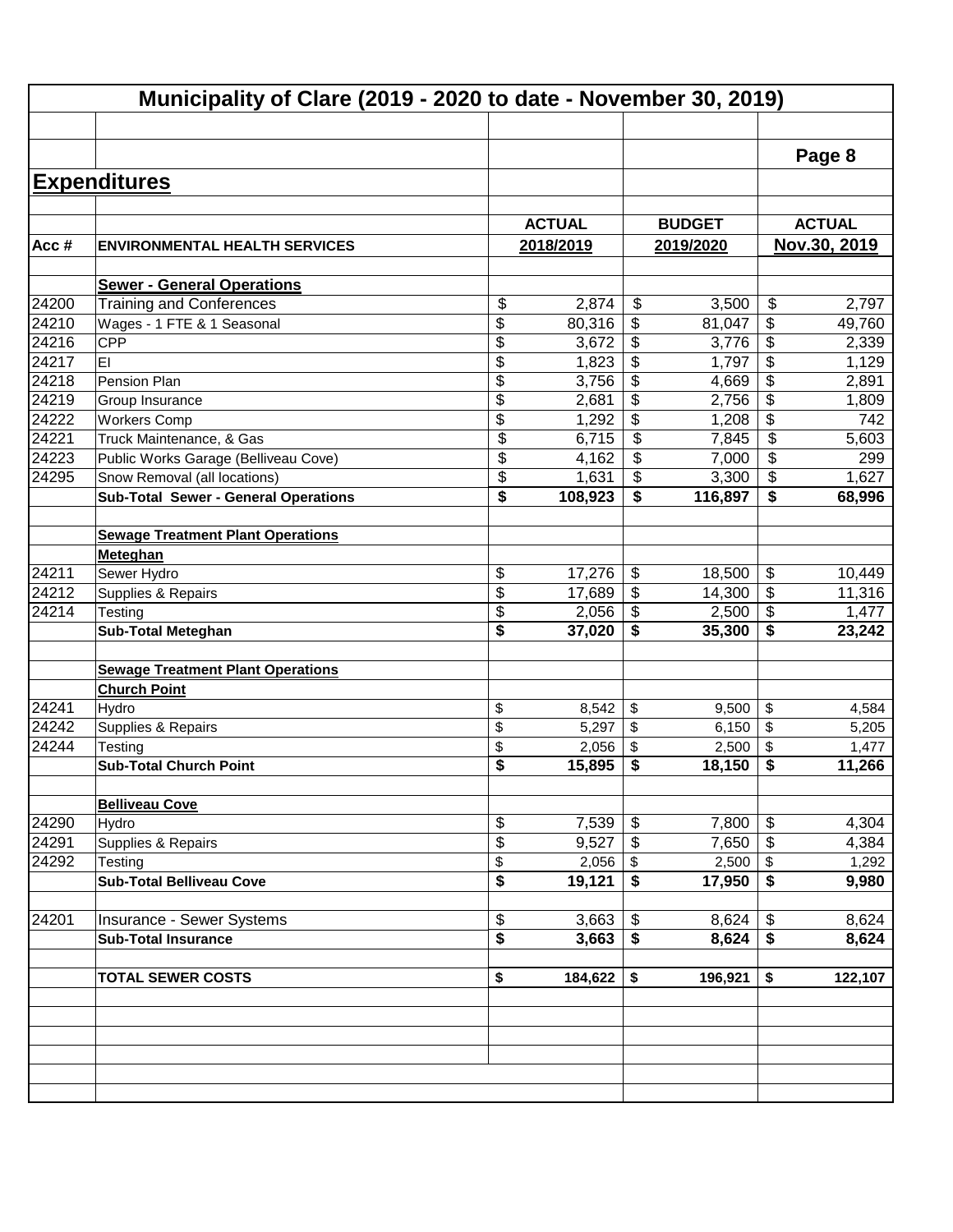|                | Municipality of Clare (2019 - 2020 to date - November 30, 2019) |                          |               |                           |               |                           |                |  |  |  |  |
|----------------|-----------------------------------------------------------------|--------------------------|---------------|---------------------------|---------------|---------------------------|----------------|--|--|--|--|
|                |                                                                 |                          |               |                           |               |                           | Page 8         |  |  |  |  |
|                | <b>Expenditures</b>                                             |                          |               |                           |               |                           |                |  |  |  |  |
|                |                                                                 |                          |               |                           |               |                           |                |  |  |  |  |
|                |                                                                 |                          | <b>ACTUAL</b> |                           | <b>BUDGET</b> |                           | <b>ACTUAL</b>  |  |  |  |  |
| Acc#           | <b>ENVIRONMENTAL HEALTH SERVICES</b>                            |                          | 2018/2019     |                           | 2019/2020     |                           | Nov.30, 2019   |  |  |  |  |
|                |                                                                 |                          |               |                           |               |                           |                |  |  |  |  |
|                | <b>Sewer - General Operations</b>                               |                          |               |                           |               |                           |                |  |  |  |  |
| 24200          | <b>Training and Conferences</b>                                 | \$                       | 2,874         | \$                        | 3,500         | $\boldsymbol{\mathsf{S}}$ | 2,797          |  |  |  |  |
| 24210          | Wages - 1 FTE & 1 Seasonal                                      | \$                       | 80,316        | \$                        | 81,047        | \$                        | 49,760         |  |  |  |  |
| 24216          | CPP                                                             | \$                       | 3,672         | \$                        | 3,776         | \$                        | 2,339          |  |  |  |  |
| 24217          | EI                                                              | \$                       | 1,823         | \$                        | 1,797         | \$                        | 1,129          |  |  |  |  |
| 24218          | Pension Plan                                                    | \$                       | 3,756         | \$                        | 4,669         | \$                        | 2,891          |  |  |  |  |
| 24219          | Group Insurance                                                 | \$                       | 2,681         | $\overline{\mathbf{e}}$   | 2,756         | \$                        | 1,809          |  |  |  |  |
| 24222          | <b>Workers Comp</b>                                             | \$                       | 1,292         | \$                        | 1,208         | \$                        | 742            |  |  |  |  |
| 24221          | Truck Maintenance, & Gas                                        | \$                       | 6,715         | \$                        | 7,845         | \$                        | 5,603          |  |  |  |  |
| 24223          | Public Works Garage (Belliveau Cove)                            | $\overline{\mathcal{S}}$ | 4,162         | \$                        | 7,000         | \$                        | 299            |  |  |  |  |
| 24295          | Snow Removal (all locations)                                    | \$                       | 1,631         | \$                        | 3,300         | \$                        | 1,627          |  |  |  |  |
|                | <b>Sub-Total Sewer - General Operations</b>                     | \$                       | 108,923       | \$                        | 116,897       | \$                        | 68,996         |  |  |  |  |
|                | <b>Sewage Treatment Plant Operations</b>                        |                          |               |                           |               |                           |                |  |  |  |  |
|                | Meteghan                                                        |                          |               |                           |               |                           |                |  |  |  |  |
| 24211          | Sewer Hydro                                                     | \$                       | 17,276        | \$                        | 18,500        | \$                        | 10,449         |  |  |  |  |
| 24212          | Supplies & Repairs                                              | \$                       | 17,689        | \$                        | 14,300        | $\boldsymbol{\mathsf{s}}$ | 11,316         |  |  |  |  |
| $\sqrt{24214}$ | Testing                                                         | \$                       | 2,056         | \$                        | 2,500         | $\boldsymbol{\mathsf{S}}$ | 1,477          |  |  |  |  |
|                | <b>Sub-Total Meteghan</b>                                       | \$                       | 37,020        | \$                        | 35,300        | \$                        | 23,242         |  |  |  |  |
|                | <b>Sewage Treatment Plant Operations</b>                        |                          |               |                           |               |                           |                |  |  |  |  |
|                | <b>Church Point</b>                                             |                          |               |                           |               |                           |                |  |  |  |  |
| 24241          | Hydro                                                           | \$                       | 8,542         | \$                        | 9,500         | \$                        |                |  |  |  |  |
| 24242          | Supplies & Repairs                                              | \$                       | 5,297         | \$                        | 6,150         | \$                        | 4,584<br>5,205 |  |  |  |  |
| 24244          | Testing                                                         | \$                       | 2,056         | \$                        | 2,500         | \$                        | 1,477          |  |  |  |  |
|                | <b>Sub-Total Church Point</b>                                   | \$                       | 15,895        | \$                        | 18,150        | \$                        | 11,266         |  |  |  |  |
|                |                                                                 |                          |               |                           |               |                           |                |  |  |  |  |
|                | <b>Belliveau Cove</b>                                           |                          |               |                           |               |                           |                |  |  |  |  |
| 24290          | Hydro                                                           | \$                       | 7,539         | \$                        | 7,800         | \$                        | 4,304          |  |  |  |  |
| 24291          | Supplies & Repairs                                              | \$                       | 9,527         | \$                        | 7,650         | $\sqrt[6]{3}$             | 4,384          |  |  |  |  |
| 24292          | Testing                                                         | \$                       | 2,056         | \$                        | 2,500         | $\sqrt[6]{3}$             | 1,292          |  |  |  |  |
|                | <b>Sub-Total Belliveau Cove</b>                                 | \$                       | 19,121        | \$                        | 17,950        | $\overline{\bullet}$      | 9,980          |  |  |  |  |
| 24201          | Insurance - Sewer Systems                                       | \$                       | 3,663         | $\boldsymbol{\mathsf{S}}$ | 8,624         | \$                        | 8,624          |  |  |  |  |
|                | <b>Sub-Total Insurance</b>                                      | \$                       | 3,663         | \$                        | 8,624         | $\overline{\bullet}$      | 8,624          |  |  |  |  |
|                |                                                                 |                          |               |                           |               |                           |                |  |  |  |  |
|                | <b>TOTAL SEWER COSTS</b>                                        | \$                       | 184,622       | \$                        | 196,921       | \$                        | 122,107        |  |  |  |  |
|                |                                                                 |                          |               |                           |               |                           |                |  |  |  |  |
|                |                                                                 |                          |               |                           |               |                           |                |  |  |  |  |
|                |                                                                 |                          |               |                           |               |                           |                |  |  |  |  |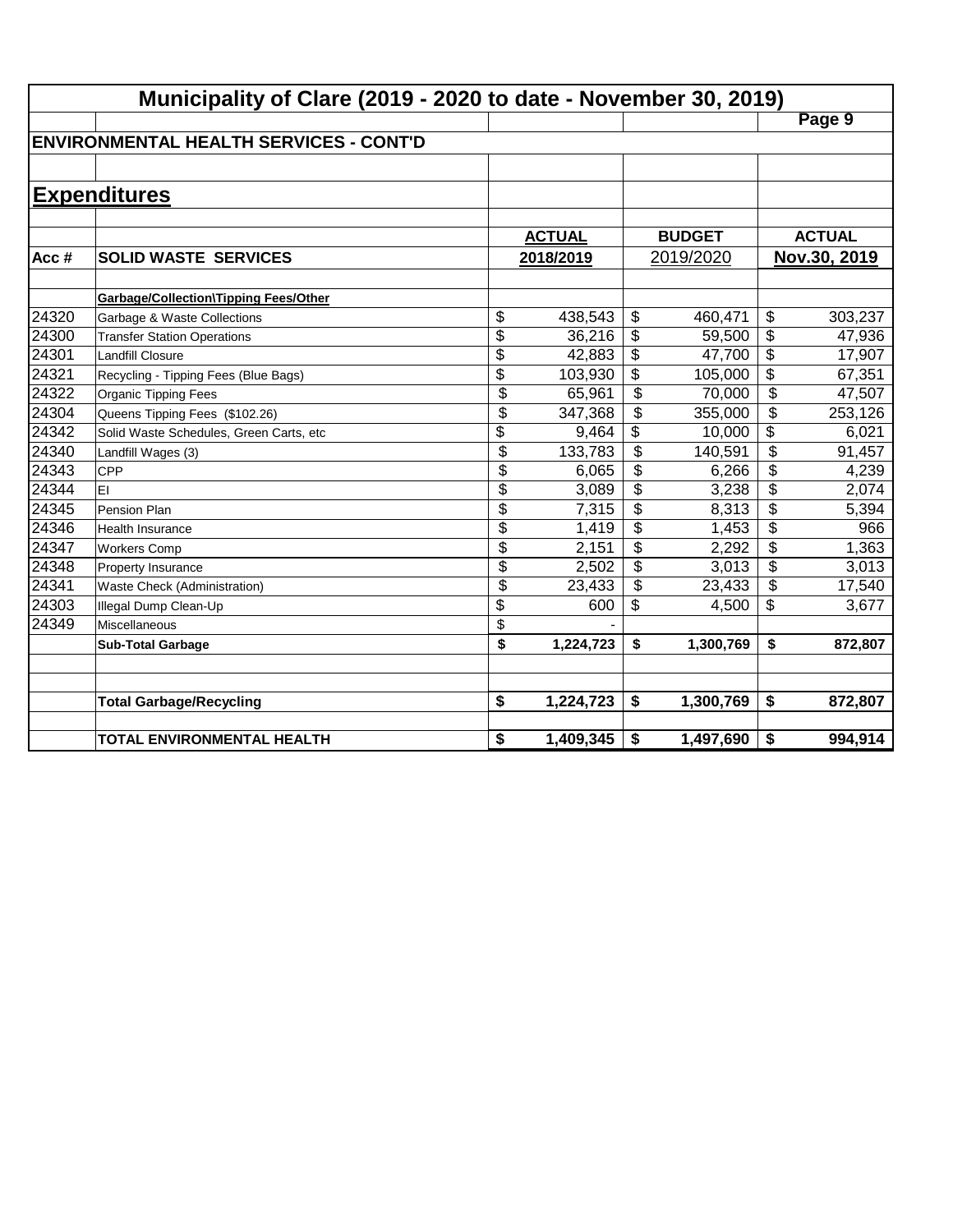|       | Municipality of Clare (2019 - 2020 to date - November 30, 2019) |                 |               |                          |               |                          |               |  |  |  |
|-------|-----------------------------------------------------------------|-----------------|---------------|--------------------------|---------------|--------------------------|---------------|--|--|--|
|       |                                                                 |                 |               |                          |               |                          | Page 9        |  |  |  |
|       | <b>IENVIRONMENTAL HEALTH SERVICES - CONT'D</b>                  |                 |               |                          |               |                          |               |  |  |  |
|       |                                                                 |                 |               |                          |               |                          |               |  |  |  |
|       | <b>Expenditures</b>                                             |                 |               |                          |               |                          |               |  |  |  |
|       |                                                                 |                 |               |                          |               |                          |               |  |  |  |
|       |                                                                 |                 | <b>ACTUAL</b> |                          | <b>BUDGET</b> |                          | <b>ACTUAL</b> |  |  |  |
| Acc#  | <b>SOLID WASTE SERVICES</b>                                     |                 | 2018/2019     | 2019/2020                |               |                          | Nov.30, 2019  |  |  |  |
|       |                                                                 |                 |               |                          |               |                          |               |  |  |  |
|       | <b>Garbage/Collection\Tipping Fees/Other</b>                    |                 |               |                          |               |                          |               |  |  |  |
| 24320 | Garbage & Waste Collections                                     | \$              | 438,543       | \$                       | 460,471       | \$                       | 303,237       |  |  |  |
| 24300 | <b>Transfer Station Operations</b>                              | \$              | 36,216        | \$                       | 59,500        | $\overline{\$}$          | 47,936        |  |  |  |
| 24301 | <b>Landfill Closure</b>                                         | \$              | 42,883        | \$                       | 47,700        | \$                       | 17,907        |  |  |  |
| 24321 | Recycling - Tipping Fees (Blue Bags)                            | $\overline{\$}$ | 103,930       | \$                       | 105,000       | $\overline{\$}$          | 67,351        |  |  |  |
| 24322 | Organic Tipping Fees                                            | \$              | 65,961        | \$                       | 70,000        | $\overline{\mathcal{L}}$ | 47,507        |  |  |  |
| 24304 | Queens Tipping Fees (\$102.26)                                  | $\overline{\$}$ | 347,368       | $\overline{\mathcal{L}}$ | 355,000       | $\overline{\mathcal{L}}$ | 253,126       |  |  |  |
| 24342 | Solid Waste Schedules, Green Carts, etc                         | \$              | 9,464         | \$                       | 10,000        | $\overline{\mathcal{L}}$ | 6,021         |  |  |  |
| 24340 | Landfill Wages (3)                                              | $\overline{\$}$ | 133,783       | \$                       | 140,591       | \$                       | 91,457        |  |  |  |
| 24343 | <b>CPP</b>                                                      | \$              | 6,065         | \$                       | 6,266         | \$                       | 4,239         |  |  |  |
| 24344 | EI                                                              | \$              | 3,089         | \$                       | 3,238         | \$                       | 2,074         |  |  |  |
| 24345 | Pension Plan                                                    | \$              | 7,315         | \$                       | 8,313         | \$                       | 5,394         |  |  |  |
| 24346 | <b>Health Insurance</b>                                         | \$              | 1,419         | \$                       | 1,453         | \$                       | 966           |  |  |  |
| 24347 | <b>Workers Comp</b>                                             | \$              | 2,151         | \$                       | 2,292         | \$                       | 1,363         |  |  |  |
| 24348 | Property Insurance                                              | \$              | 2,502         | \$                       | 3,013         | \$                       | 3,013         |  |  |  |
| 24341 | Waste Check (Administration)                                    | \$              | 23,433        | \$                       | 23,433        | \$                       | 17,540        |  |  |  |
| 24303 | Illegal Dump Clean-Up                                           | \$              | 600           | \$                       | 4,500         | \$                       | 3,677         |  |  |  |
| 24349 | Miscellaneous                                                   | \$              |               |                          |               |                          |               |  |  |  |
|       | <b>Sub-Total Garbage</b>                                        | \$              | 1,224,723     | \$                       | 1,300,769     | \$                       | 872,807       |  |  |  |
|       |                                                                 |                 |               |                          |               |                          |               |  |  |  |
|       |                                                                 |                 |               |                          |               |                          |               |  |  |  |
|       | <b>Total Garbage/Recycling</b>                                  | \$              | 1,224,723     | \$                       | 1,300,769     | \$                       | 872,807       |  |  |  |
|       | TOTAL ENVIRONMENTAL HEALTH                                      | \$              | 1,409,345     | \$                       | 1,497,690     | \$                       | 994,914       |  |  |  |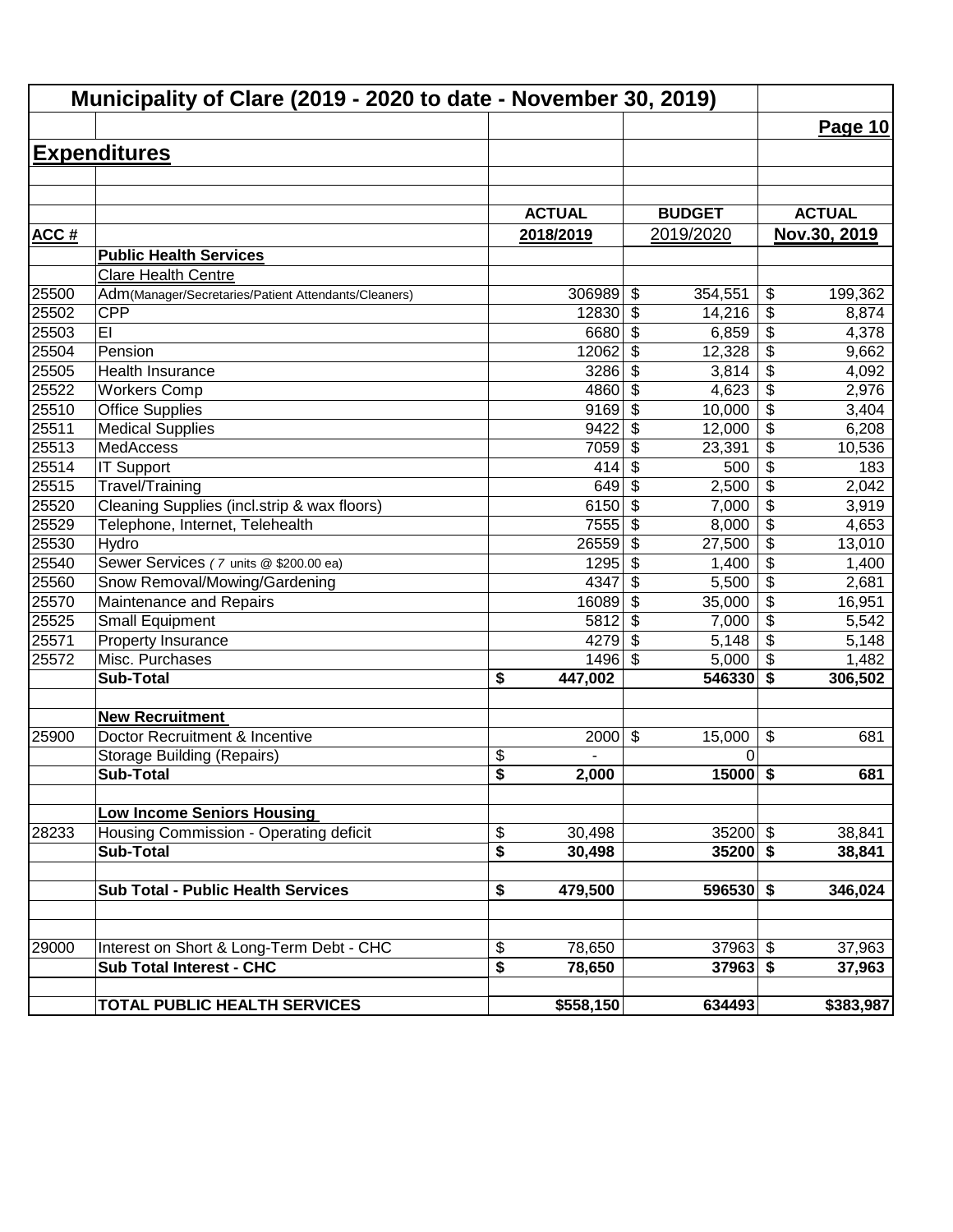| Municipality of Clare (2019 - 2020 to date - November 30, 2019) |                                                      |                                                |                                      |                                           |  |  |
|-----------------------------------------------------------------|------------------------------------------------------|------------------------------------------------|--------------------------------------|-------------------------------------------|--|--|
|                                                                 |                                                      |                                                |                                      | Page 10                                   |  |  |
|                                                                 | <b>Expenditures</b>                                  |                                                |                                      |                                           |  |  |
|                                                                 |                                                      |                                                |                                      |                                           |  |  |
|                                                                 |                                                      |                                                |                                      |                                           |  |  |
|                                                                 |                                                      | <b>ACTUAL</b>                                  | <b>BUDGET</b>                        | <b>ACTUAL</b>                             |  |  |
| <b>ACC#</b>                                                     |                                                      | 2018/2019                                      | 2019/2020                            | Nov.30, 2019                              |  |  |
|                                                                 | <b>Public Health Services</b>                        |                                                |                                      |                                           |  |  |
|                                                                 | Clare Health Centre                                  |                                                |                                      |                                           |  |  |
| 25500                                                           | Adm(Manager/Secretaries/Patient Attendants/Cleaners) | 306989                                         | $\boldsymbol{\mathsf{S}}$<br>354,551 | \$<br>199,362                             |  |  |
| 25502                                                           | <b>CPP</b>                                           | 12830                                          | $\boldsymbol{\mathsf{S}}$<br>14,216  | \$<br>8,874                               |  |  |
| 25503                                                           | EI                                                   | 6680                                           | $\boldsymbol{\mathsf{S}}$<br>6,859   | \$<br>4,378                               |  |  |
| 25504                                                           | Pension                                              | 12062                                          | $\boldsymbol{\mathsf{S}}$<br>12,328  | \$<br>9,662                               |  |  |
| 25505                                                           | Health Insurance                                     | 3286                                           | $\boldsymbol{\mathsf{S}}$<br>3,814   | $\overline{\boldsymbol{\theta}}$<br>4,092 |  |  |
| 25522                                                           | <b>Workers Comp</b>                                  | 4860                                           | $\overline{\mathcal{S}}$<br>4,623    | $\overline{\$}$<br>2,976                  |  |  |
| 25510                                                           | <b>Office Supplies</b>                               | 9169                                           | \$<br>10,000                         | $\overline{\$}$<br>3,404                  |  |  |
| 25511                                                           | <b>Medical Supplies</b>                              | 9422                                           | $\overline{\mathcal{S}}$<br>12,000   | $\overline{\$}$<br>6,208                  |  |  |
| 25513                                                           | MedAccess                                            | 7059                                           | $\boldsymbol{\mathsf{S}}$<br>23,391  | $\overline{\$}$<br>10,536                 |  |  |
| 25514                                                           | <b>IT Support</b>                                    | 414                                            | $\boldsymbol{\mathsf{S}}$<br>500     | $\overline{\$}$<br>183                    |  |  |
| 25515                                                           | Travel/Training                                      | 649                                            | $\boldsymbol{\mathsf{S}}$<br>2,500   | $\overline{\$}$<br>2,042                  |  |  |
| 25520                                                           | Cleaning Supplies (incl.strip & wax floors)          | 6150                                           | $\boldsymbol{\mathsf{S}}$<br>7,000   | $\overline{\$}$<br>3,919                  |  |  |
| 25529                                                           | Telephone, Internet, Telehealth                      | 7555                                           | \$<br>8,000                          | $\overline{\mathcal{L}}$<br>4,653         |  |  |
| 25530                                                           | Hydro                                                | 26559                                          | $\boldsymbol{\mathsf{S}}$<br>27,500  | \$<br>13,010                              |  |  |
| 25540                                                           | Sewer Services (7 units @ \$200.00 ea)               | 1295                                           | $\boldsymbol{\mathsf{S}}$<br>1,400   | $\overline{\mathcal{L}}$<br>1,400         |  |  |
| 25560                                                           | Snow Removal/Mowing/Gardening                        | 4347                                           | $\boldsymbol{\mathsf{S}}$<br>5,500   | $\overline{\mathcal{L}}$<br>2,681         |  |  |
| 25570                                                           | Maintenance and Repairs                              | 16089                                          | $\boldsymbol{\mathsf{S}}$<br>35,000  | $\overline{\mathcal{L}}$<br>16,951        |  |  |
| 25525                                                           | <b>Small Equipment</b>                               | 5812                                           | $\boldsymbol{\mathsf{S}}$<br>7,000   | \$<br>5,542                               |  |  |
| 25571                                                           | Property Insurance                                   | 4279                                           | $\boldsymbol{\mathsf{S}}$<br>5,148   | \$<br>5,148                               |  |  |
| 25572                                                           | Misc. Purchases                                      | 1496                                           | $\boldsymbol{\mathsf{S}}$<br>5,000   | $\sqrt{2}$<br>1,482                       |  |  |
|                                                                 | <b>Sub-Total</b>                                     | \$<br>447,002                                  | 546330                               | $\overline{\boldsymbol{s}}$<br>306,502    |  |  |
|                                                                 | <b>New Recruitment</b>                               |                                                |                                      |                                           |  |  |
| 25900                                                           | Doctor Recruitment & Incentive                       | 2000                                           | $\boldsymbol{\mathsf{S}}$<br>15,000  | \$<br>681                                 |  |  |
|                                                                 | <b>Storage Building (Repairs)</b>                    | \$                                             | 0                                    |                                           |  |  |
|                                                                 | <b>Sub-Total</b>                                     | $\overline{\mathbf{s}}$<br>2,000               | $15000$ \$                           | 681                                       |  |  |
|                                                                 | <b>Low Income Seniors Housing</b>                    |                                                |                                      |                                           |  |  |
| 28233                                                           | Housing Commission - Operating deficit               | 30,498                                         | $35200$ \$                           | 38,841                                    |  |  |
|                                                                 | <b>Sub-Total</b>                                     | \$<br>\$<br>30,498                             | $35200$ \$                           | 38,841                                    |  |  |
|                                                                 |                                                      |                                                |                                      |                                           |  |  |
|                                                                 | <b>Sub Total - Public Health Services</b>            | 479,500<br>\$                                  | $596530$ \$                          | 346,024                                   |  |  |
|                                                                 |                                                      |                                                |                                      |                                           |  |  |
| 29000                                                           | Interest on Short & Long-Term Debt - CHC             | \$<br>78,650                                   | $37963$ \$                           | 37,963                                    |  |  |
|                                                                 | <b>Sub Total Interest - CHC</b>                      | $\overline{\boldsymbol{\mathsf{s}}}$<br>78,650 | $37963$ \$                           | 37,963                                    |  |  |
|                                                                 | <b>TOTAL PUBLIC HEALTH SERVICES</b>                  | \$558,150                                      | 634493                               | \$383,987                                 |  |  |
|                                                                 |                                                      |                                                |                                      |                                           |  |  |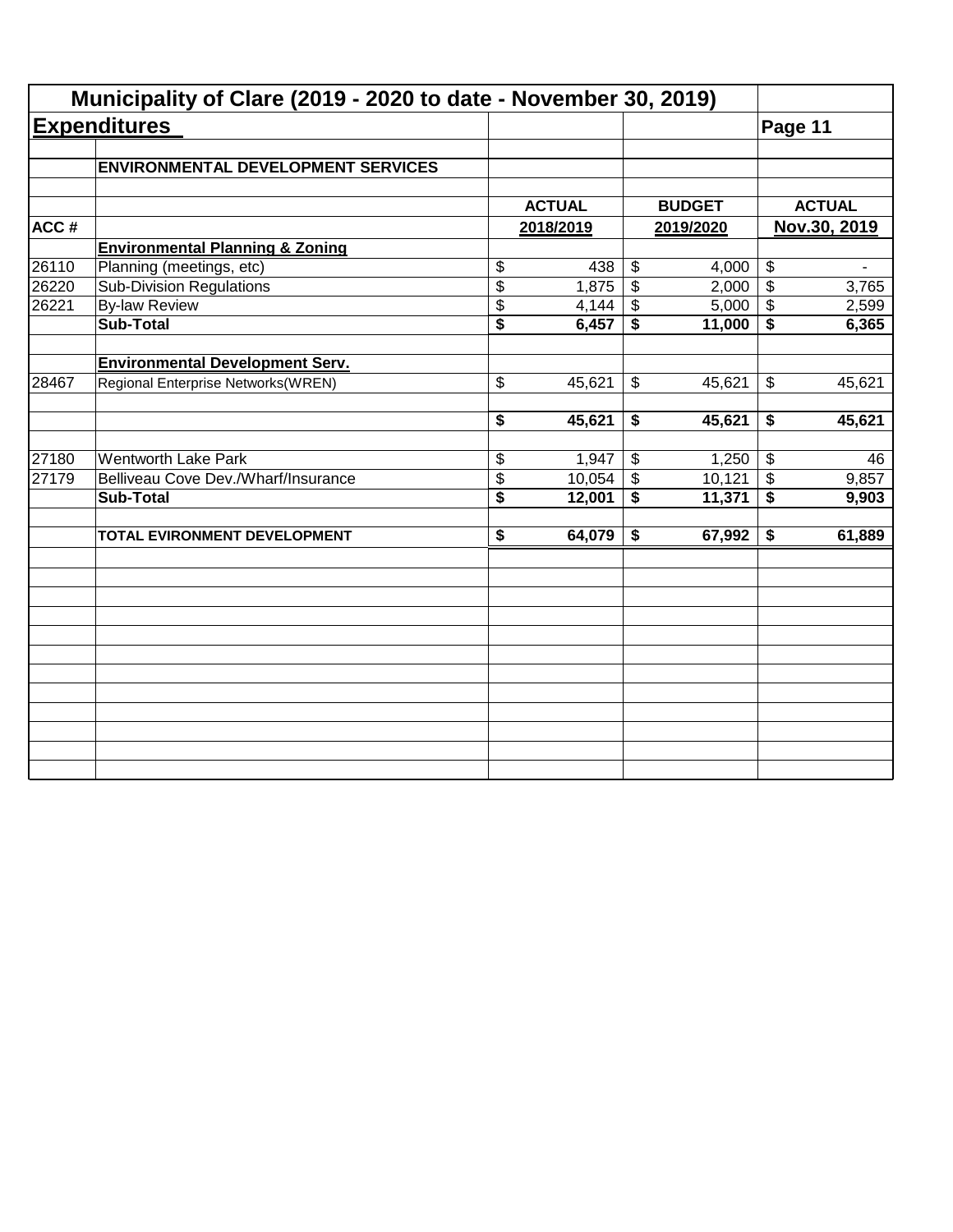|       | Municipality of Clare (2019 - 2020 to date - November 30, 2019) |                                      |           |                 |               |                            |               |  |
|-------|-----------------------------------------------------------------|--------------------------------------|-----------|-----------------|---------------|----------------------------|---------------|--|
|       | <b>Expenditures</b>                                             |                                      |           |                 |               | Page 11                    |               |  |
|       | <b>ENVIRONMENTAL DEVELOPMENT SERVICES</b>                       |                                      |           |                 |               |                            |               |  |
|       |                                                                 | <b>ACTUAL</b>                        |           |                 | <b>BUDGET</b> |                            | <b>ACTUAL</b> |  |
| ACC#  |                                                                 |                                      | 2018/2019 |                 | 2019/2020     | Nov.30, 2019               |               |  |
|       | <b>Environmental Planning &amp; Zoning</b>                      |                                      |           |                 |               |                            |               |  |
| 26110 | Planning (meetings, etc)                                        | \$                                   | 438       | \$              | 4,000         | $\boldsymbol{\theta}$      |               |  |
| 26220 | <b>Sub-Division Regulations</b>                                 | $\overline{\$}$                      | 1,875     | $\overline{\$}$ | 2,000         | $\boldsymbol{\mathsf{S}}$  | 3,765         |  |
| 26221 | <b>By-law Review</b>                                            | \$                                   | 4,144     | \$              | 5,000         | $\boldsymbol{\mathcal{F}}$ | 2,599         |  |
|       | <b>Sub-Total</b>                                                | $\overline{\$}$                      | 6,457     | \$              | 11,000        | \$                         | 6,365         |  |
|       | <b>Environmental Development Serv.</b>                          |                                      |           |                 |               |                            |               |  |
| 28467 | Regional Enterprise Networks(WREN)                              | \$                                   | 45,621    | \$              | 45,621        | \$                         | 45,621        |  |
|       |                                                                 | \$                                   | 45,621    | \$              | 45,621        | \$                         | 45,621        |  |
| 27180 | <b>Wentworth Lake Park</b>                                      | \$                                   | 1,947     | \$              | 1,250         | $\sqrt[6]{3}$              | 46            |  |
| 27179 | Belliveau Cove Dev./Wharf/Insurance                             | \$                                   | 10,054    | $\mathfrak s$   | 10,121        | $\boldsymbol{\mathsf{S}}$  | 9,857         |  |
|       | <b>Sub-Total</b>                                                | $\overline{\boldsymbol{\mathsf{s}}}$ | 12,001    | \$              | 11,371        | $\overline{\bullet}$       | 9,903         |  |
|       | TOTAL EVIRONMENT DEVELOPMENT                                    | $\overline{\boldsymbol{\mathsf{s}}}$ | 64,079    | \$              | 67,992        | \$                         | 61,889        |  |
|       |                                                                 |                                      |           |                 |               |                            |               |  |
|       |                                                                 |                                      |           |                 |               |                            |               |  |
|       |                                                                 |                                      |           |                 |               |                            |               |  |
|       |                                                                 |                                      |           |                 |               |                            |               |  |
|       |                                                                 |                                      |           |                 |               |                            |               |  |
|       |                                                                 |                                      |           |                 |               |                            |               |  |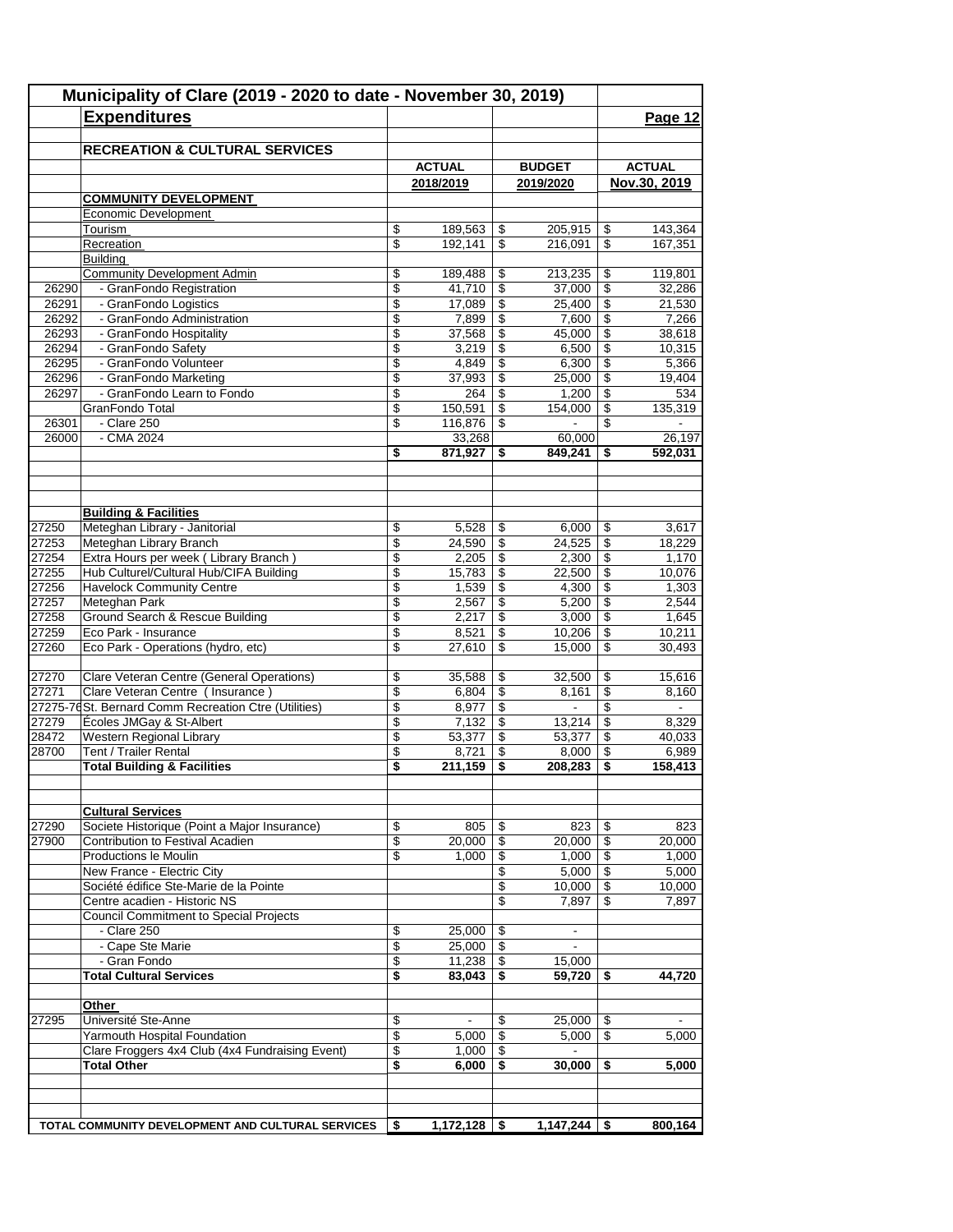|       | Municipality of Clare (2019 - 2020 to date - November 30, 2019)<br><b>Expenditures</b> |                 |                   |                       |                          |                                      | Page 12           |
|-------|----------------------------------------------------------------------------------------|-----------------|-------------------|-----------------------|--------------------------|--------------------------------------|-------------------|
|       | <b>RECREATION &amp; CULTURAL SERVICES</b>                                              |                 |                   |                       |                          |                                      |                   |
|       |                                                                                        |                 | <b>ACTUAL</b>     |                       | <b>BUDGET</b>            |                                      | <b>ACTUAL</b>     |
|       |                                                                                        |                 | 2018/2019         |                       | 2019/2020                |                                      | Nov.30, 2019      |
|       | <b>COMMUNITY DEVELOPMENT</b>                                                           |                 |                   |                       |                          |                                      |                   |
|       | Economic Development                                                                   |                 |                   |                       |                          |                                      |                   |
|       | Tourism                                                                                | \$              | 189,563           | \$                    | 205,915                  | \$                                   | 143,364           |
|       | Recreation                                                                             | \$              | 192,141           | \$                    | 216,091                  | \$                                   | 167,351           |
|       | <b>Building</b>                                                                        |                 |                   |                       |                          |                                      |                   |
| 26290 | <b>Community Development Admin</b><br>- GranFondo Registration                         | \$<br>\$        | 189,488<br>41,710 | \$<br>$\overline{\$}$ | 213,235<br>37,000        | \$<br>$\overline{\mathcal{S}}$       | 119,801<br>32,286 |
| 26291 | - GranFondo Logistics                                                                  | \$              | 17,089            | \$                    | 25,400                   | \$                                   | 21,530            |
| 26292 | - GranFondo Administration                                                             | \$              | 7,899             | \$                    | 7,600                    | \$                                   | 7,266             |
| 26293 | - GranFondo Hospitality                                                                | \$              | 37,568            | \$                    | 45,000                   | \$                                   | 38,618            |
| 26294 | - GranFondo Safety                                                                     | \$              | 3,219             | \$                    | 6,500                    | \$                                   | 10,315            |
| 26295 | - GranFondo Volunteer                                                                  | \$              | 4,849             | \$                    | 6,300                    | \$                                   | 5,366             |
| 26296 | - GranFondo Marketing                                                                  | \$              | 37,993            | \$                    | 25,000                   | \$                                   | 19,404            |
| 26297 | - GranFondo Learn to Fondo                                                             | \$              | 264               | \$                    | 1,200                    | \$                                   | 534               |
|       | GranFondo Total                                                                        | \$              | 150,591           | \$                    | 154,000                  | \$                                   | 135,319           |
| 26301 | - Clare 250                                                                            | \$              | 116,876           | \$                    |                          | \$                                   |                   |
| 26000 | - CMA 2024                                                                             |                 | 33,268            |                       | 60,000                   |                                      | 26,197            |
|       |                                                                                        | \$              | 871,927           | \$                    | 849,241                  | \$                                   | 592,031           |
|       |                                                                                        |                 |                   |                       |                          |                                      |                   |
|       | <b>Building &amp; Facilities</b>                                                       |                 |                   |                       |                          |                                      |                   |
| 27250 | Meteghan Library - Janitorial                                                          | \$              | 5,528             | \$                    | 6,000                    | \$                                   | 3,617             |
| 27253 | Meteghan Library Branch                                                                | \$              | 24,590            | \$                    | 24,525                   | \$                                   | 18,229            |
| 27254 | Extra Hours per week (Library Branch)                                                  | \$              | 2,205             | \$                    | 2,300                    | \$                                   | 1,170             |
| 27255 | Hub Culturel/Cultural Hub/CIFA Building                                                | \$              | 15,783            | \$                    | 22,500                   | \$                                   | 10,076            |
| 27256 | <b>Havelock Community Centre</b>                                                       | \$              | 1,539             | \$                    | 4,300                    | \$                                   | 1,303             |
| 27257 | Meteghan Park                                                                          | \$              | 2,567             | \$                    | 5,200                    | \$                                   | 2,544             |
| 27258 | Ground Search & Rescue Building                                                        | \$              | 2,217             | \$                    | 3,000                    | \$                                   | 1,645             |
| 27259 | Eco Park - Insurance                                                                   | \$              | 8,521             | \$                    | 10,206                   | \$                                   | 10,211            |
| 27260 | Eco Park - Operations (hydro, etc)                                                     | \$              | 27,610            | \$                    | 15,000                   | \$                                   | 30,493            |
| 27270 | Clare Veteran Centre (General Operations)                                              | \$              | 35,588            | \$                    | 32,500                   | \$                                   | 15,616            |
| 27271 | Clare Veteran Centre (Insurance)                                                       | \$              | 6,804             | \$                    | 8,161                    | \$                                   | 8,160             |
|       | 27275-76 St. Bernard Comm Recreation Ctre (Utilities)                                  | \$              | 8,977             | $\sqrt{2}$            | $\blacksquare$           | \$                                   | $\blacksquare$    |
| 27279 | Écoles JMGay & St-Albert                                                               | \$              | 7,132             | \$                    | 13,214                   | $\overline{\boldsymbol{\mathsf{s}}}$ | 8.329             |
| 28472 | Western Regional Library                                                               | \$              | 53,377            | \$                    | 53,377                   | \$                                   | 40,033            |
| 28700 | Tent / Trailer Rental                                                                  | \$              | 8,721             | \$                    | 8,000                    | \$                                   | 6,989             |
|       | <b>Total Building &amp; Facilities</b>                                                 | \$              | 211,159           | \$                    | 208,283                  | \$                                   | 158,413           |
|       |                                                                                        |                 |                   |                       |                          |                                      |                   |
| 27290 | <b>Cultural Services</b><br>Societe Historique (Point a Major Insurance)               | \$              | 805               | \$                    | 823                      | -\$                                  | 823               |
| 27900 | Contribution to Festival Acadien                                                       | \$              | 20,000            | \$                    | 20,000                   | \$                                   | 20,000            |
|       | Productions le Moulin                                                                  | \$              | 1,000             | \$                    | 1,000                    | \$                                   | 1,000             |
|       | New France - Electric City                                                             |                 |                   | \$                    | 5,000                    | \$                                   | 5,000             |
|       | Société édifice Ste-Marie de la Pointe                                                 |                 |                   | \$                    | 10,000                   | \$                                   | 10.000            |
|       | Centre acadien - Historic NS                                                           |                 |                   | \$                    | 7,897                    | \$                                   | 7,897             |
|       | <b>Council Commitment to Special Projects</b>                                          |                 |                   |                       |                          |                                      |                   |
|       | - Clare 250                                                                            | \$              | 25,000            | \$                    | $\overline{\phantom{a}}$ |                                      |                   |
|       | - Cape Ste Marie                                                                       | \$              | 25,000            | \$                    |                          |                                      |                   |
|       | - Gran Fondo                                                                           | \$              | 11,238            | \$                    | 15,000                   |                                      |                   |
|       | <b>Total Cultural Services</b>                                                         | \$              | 83,043            | \$                    | 59,720                   | \$                                   | 44,720            |
|       | Other                                                                                  |                 |                   |                       |                          |                                      |                   |
| 27295 | Université Ste-Anne                                                                    | \$              |                   | \$                    | 25,000                   | \$                                   |                   |
|       | Yarmouth Hospital Foundation                                                           | $\overline{\$}$ | 5,000             | \$                    | 5,000                    | \$                                   | 5,000             |
|       | Clare Froggers 4x4 Club (4x4 Fundraising Event)                                        | \$              | 1,000             | \$                    | $\blacksquare$           |                                      |                   |
|       | <b>Total Other</b>                                                                     | \$              | 6,000             | \$                    | 30,000                   | \$                                   | 5,000             |
|       |                                                                                        |                 |                   |                       |                          |                                      |                   |
|       | TOTAL COMMUNITY DEVELOPMENT AND CULTURAL SERVICES                                      | \$              |                   |                       | 1,147,244                | \$                                   | 800,164           |
|       |                                                                                        |                 |                   |                       |                          |                                      |                   |